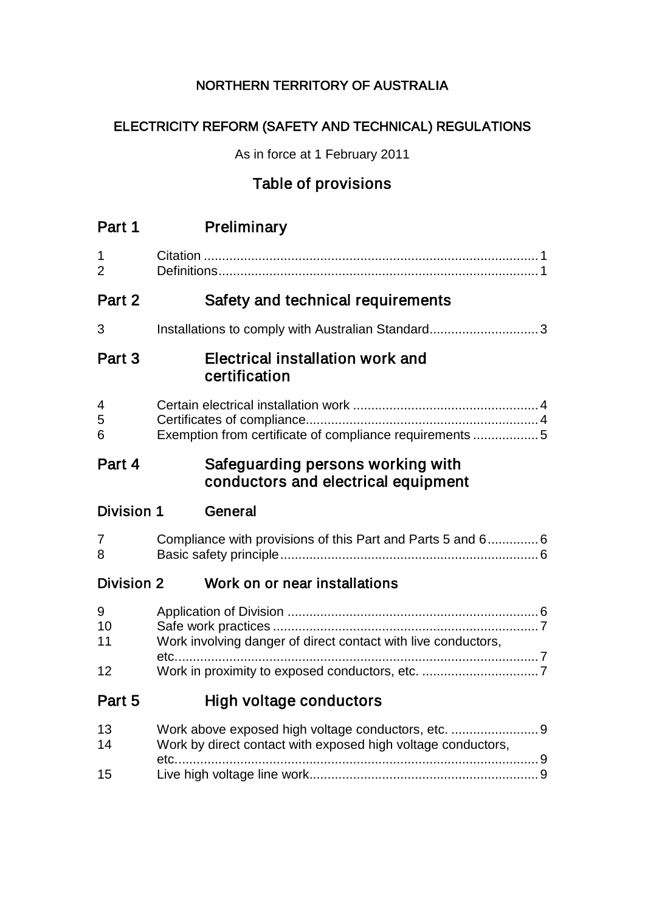# NORTHERN TERRITORY OF AUSTRALIA

# ELECTRICITY REFORM (SAFETY AND TECHNICAL) REGULATIONS

As in force at 1 February 2011

# Table of provisions

| Part 1              | Preliminary                                                              |
|---------------------|--------------------------------------------------------------------------|
| 1<br>$\overline{2}$ |                                                                          |
| Part 2              | Safety and technical requirements                                        |
| 3                   |                                                                          |
| Part 3              | Electrical installation work and<br>certification                        |
| 4<br>5<br>6         | Exemption from certificate of compliance requirements 5                  |
| Part 4              | Safeguarding persons working with<br>conductors and electrical equipment |
| <b>Division 1</b>   | General                                                                  |
| 7<br>8              | Compliance with provisions of this Part and Parts 5 and 6 6              |
| <b>Division 2</b>   | Work on or near installations                                            |
| 9<br>10<br>11       | Work involving danger of direct contact with live conductors,            |
| 12                  |                                                                          |
| Part 5              | <b>High voltage conductors</b>                                           |
| 13<br>14            | Work by direct contact with exposed high voltage conductors,             |
| 15                  |                                                                          |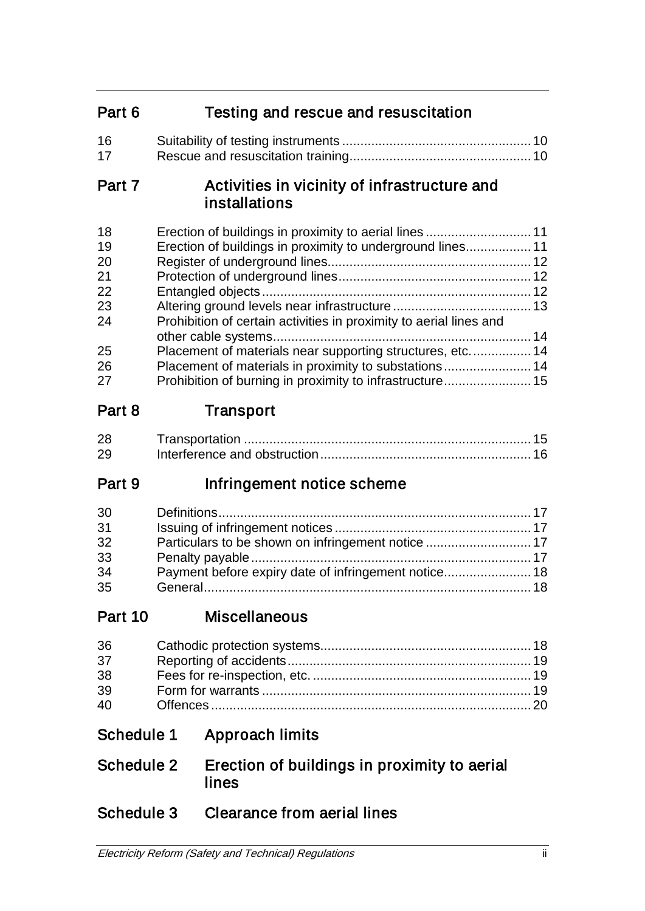# Part 6 Testing and rescue and resuscitation

| 16 |  |
|----|--|
| 17 |  |

# Part 7 **Activities in vicinity of infrastructure and** installations

| 18 |                                                                    |  |
|----|--------------------------------------------------------------------|--|
| 19 |                                                                    |  |
| 20 |                                                                    |  |
| 21 |                                                                    |  |
| 22 |                                                                    |  |
| 23 |                                                                    |  |
| 24 | Prohibition of certain activities in proximity to aerial lines and |  |
|    |                                                                    |  |
| 25 | Placement of materials near supporting structures, etc 14          |  |
| 26 |                                                                    |  |
| 27 |                                                                    |  |

# Part 8 Transport

| 28 |  |
|----|--|
| 29 |  |

# Part 9 Infringement notice scheme

| 30 |                                                    |  |
|----|----------------------------------------------------|--|
| 31 |                                                    |  |
| 32 | Particulars to be shown on infringement notice  17 |  |
| 33 |                                                    |  |
| 34 |                                                    |  |
| 35 |                                                    |  |

# Part 10 Miscellaneous

| 36 |  |
|----|--|
| 37 |  |
| 38 |  |
| 39 |  |
| 40 |  |

# Schedule 1 Approach limits

# Schedule 2 Erection of buildings in proximity to aerial lines

# Schedule 3 Clearance from aerial lines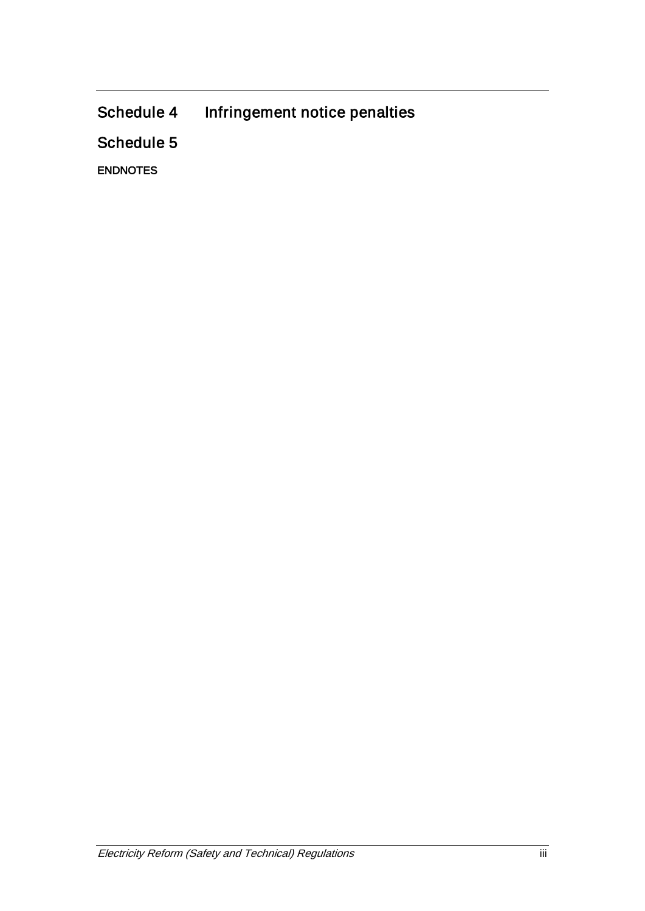Schedule 4 Infringement notice penalties

Schedule 5

ENDNOTES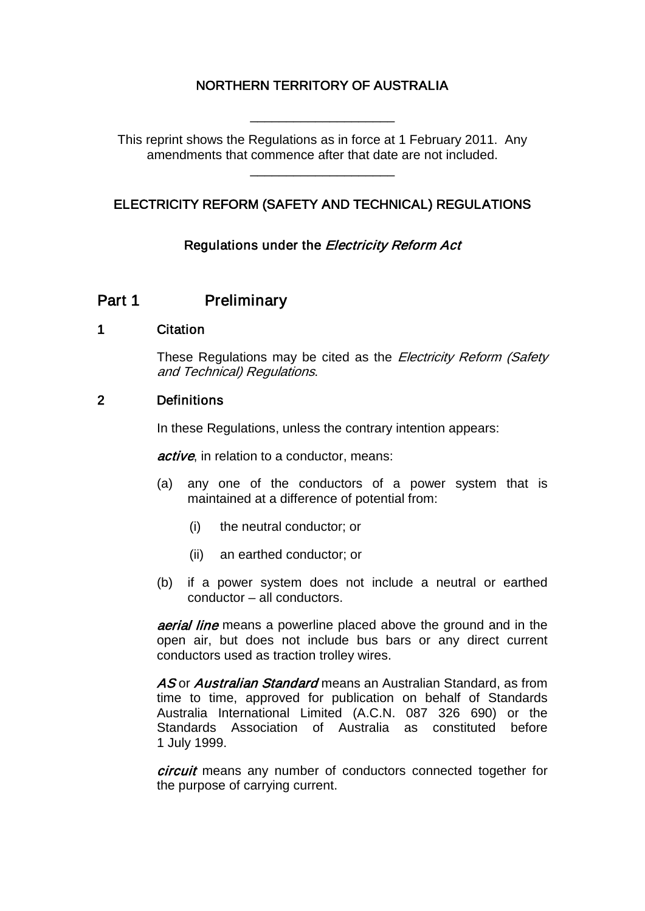# NORTHERN TERRITORY OF AUSTRALIA

\_\_\_\_\_\_\_\_\_\_\_\_\_\_\_\_\_\_\_\_

This reprint shows the Regulations as in force at 1 February 2011. Any amendments that commence after that date are not included.

\_\_\_\_\_\_\_\_\_\_\_\_\_\_\_\_\_\_\_\_

# ELECTRICITY REFORM (SAFETY AND TECHNICAL) REGULATIONS

# Regulations under the *Electricity Reform Act*

# Part 1 Preliminary

# 1 Citation

These Regulations may be cited as the *Electricity Reform (Safety* and Technical) Regulations.

# 2 Definitions

In these Regulations, unless the contrary intention appears:

active, in relation to a conductor, means:

- (a) any one of the conductors of a power system that is maintained at a difference of potential from:
	- (i) the neutral conductor; or
	- (ii) an earthed conductor; or
- (b) if a power system does not include a neutral or earthed conductor – all conductors.

**aerial line** means a powerline placed above the ground and in the open air, but does not include bus bars or any direct current conductors used as traction trolley wires.

AS or Australian Standard means an Australian Standard, as from time to time, approved for publication on behalf of Standards Australia International Limited (A.C.N. 087 326 690) or the Standards Association of Australia as constituted before 1 July 1999.

*circuit* means any number of conductors connected together for the purpose of carrying current.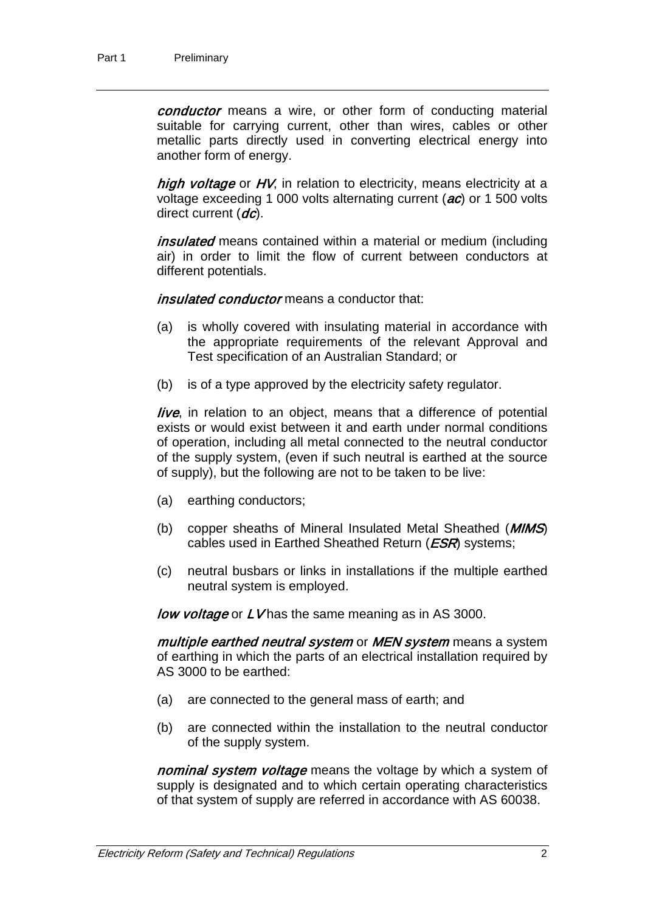conductor means a wire, or other form of conducting material suitable for carrying current, other than wires, cables or other metallic parts directly used in converting electrical energy into another form of energy.

high voltage or HV, in relation to electricity, means electricity at a voltage exceeding 1 000 volts alternating current (ac) or 1 500 volts direct current  $(dc)$ .

insulated means contained within a material or medium (including air) in order to limit the flow of current between conductors at different potentials.

*insulated conductor* means a conductor that:

- (a) is wholly covered with insulating material in accordance with the appropriate requirements of the relevant Approval and Test specification of an Australian Standard; or
- (b) is of a type approved by the electricity safety regulator.

live, in relation to an object, means that a difference of potential exists or would exist between it and earth under normal conditions of operation, including all metal connected to the neutral conductor of the supply system, (even if such neutral is earthed at the source of supply), but the following are not to be taken to be live:

- (a) earthing conductors;
- (b) copper sheaths of Mineral Insulated Metal Sheathed (*MIMS*) cables used in Earthed Sheathed Return ( $ESR$ ) systems;
- (c) neutral busbars or links in installations if the multiple earthed neutral system is employed.

*low voltage* or LV has the same meaning as in AS 3000.

multiple earthed neutral system or MEN system means a system of earthing in which the parts of an electrical installation required by AS 3000 to be earthed:

- (a) are connected to the general mass of earth; and
- (b) are connected within the installation to the neutral conductor of the supply system.

nominal system voltage means the voltage by which a system of supply is designated and to which certain operating characteristics of that system of supply are referred in accordance with AS 60038.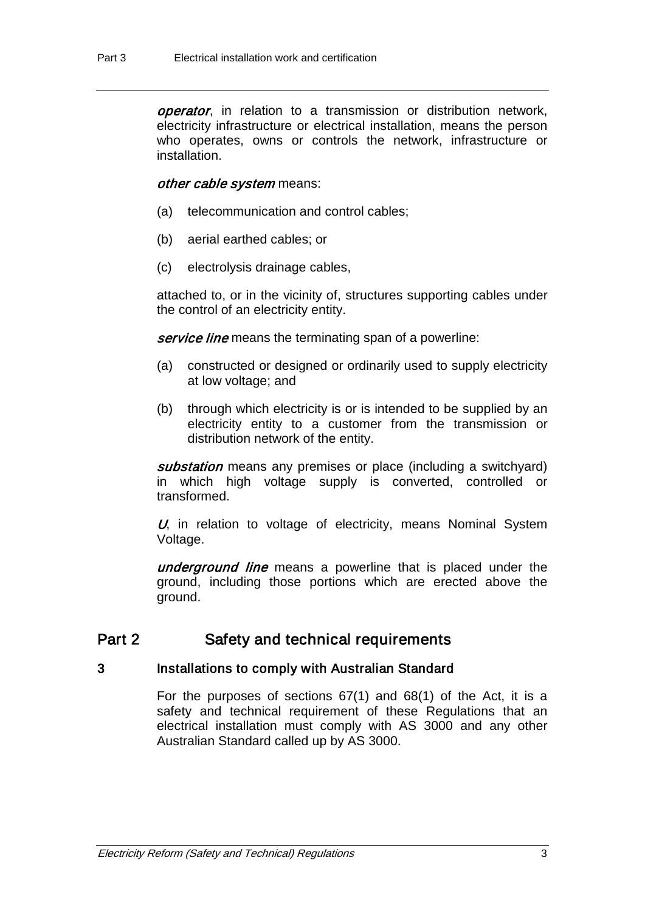operator, in relation to a transmission or distribution network, electricity infrastructure or electrical installation, means the person who operates, owns or controls the network, infrastructure or installation.

## other cable system means:

- (a) telecommunication and control cables;
- (b) aerial earthed cables; or
- (c) electrolysis drainage cables,

attached to, or in the vicinity of, structures supporting cables under the control of an electricity entity.

service line means the terminating span of a powerline:

- (a) constructed or designed or ordinarily used to supply electricity at low voltage; and
- (b) through which electricity is or is intended to be supplied by an electricity entity to a customer from the transmission or distribution network of the entity.

substation means any premises or place (including a switchyard) in which high voltage supply is converted, controlled or transformed.

 $U$ , in relation to voltage of electricity, means Nominal System Voltage.

underground line means a powerline that is placed under the ground, including those portions which are erected above the ground.

# Part 2 Safety and technical requirements

# 3 Installations to comply with Australian Standard

For the purposes of sections 67(1) and 68(1) of the Act, it is a safety and technical requirement of these Regulations that an electrical installation must comply with AS 3000 and any other Australian Standard called up by AS 3000.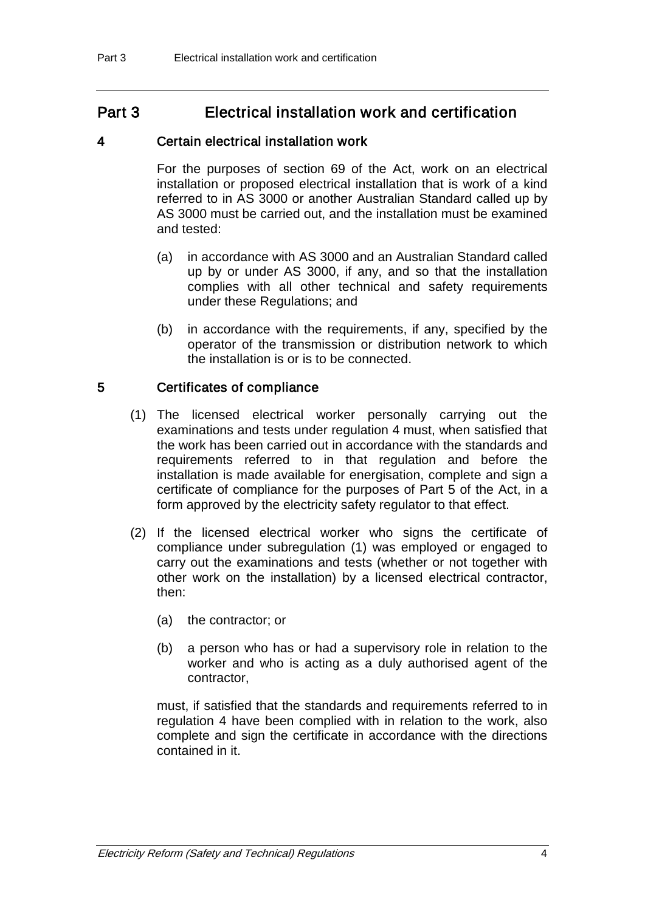# Part 3 Electrical installation work and certification

# 4 Certain electrical installation work

For the purposes of section 69 of the Act, work on an electrical installation or proposed electrical installation that is work of a kind referred to in AS 3000 or another Australian Standard called up by AS 3000 must be carried out, and the installation must be examined and tested:

- (a) in accordance with AS 3000 and an Australian Standard called up by or under AS 3000, if any, and so that the installation complies with all other technical and safety requirements under these Regulations; and
- (b) in accordance with the requirements, if any, specified by the operator of the transmission or distribution network to which the installation is or is to be connected.

# 5 Certificates of compliance

- (1) The licensed electrical worker personally carrying out the examinations and tests under regulation 4 must, when satisfied that the work has been carried out in accordance with the standards and requirements referred to in that regulation and before the installation is made available for energisation, complete and sign a certificate of compliance for the purposes of Part 5 of the Act, in a form approved by the electricity safety regulator to that effect.
- (2) If the licensed electrical worker who signs the certificate of compliance under subregulation (1) was employed or engaged to carry out the examinations and tests (whether or not together with other work on the installation) by a licensed electrical contractor, then:
	- (a) the contractor; or
	- (b) a person who has or had a supervisory role in relation to the worker and who is acting as a duly authorised agent of the contractor,

must, if satisfied that the standards and requirements referred to in regulation 4 have been complied with in relation to the work, also complete and sign the certificate in accordance with the directions contained in it.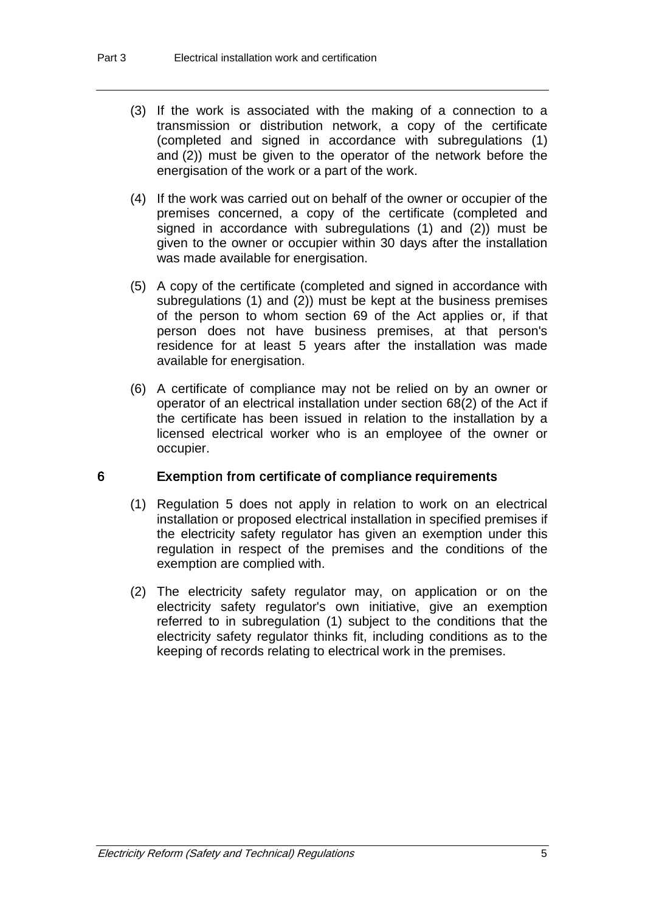- (3) If the work is associated with the making of a connection to a transmission or distribution network, a copy of the certificate (completed and signed in accordance with subregulations (1) and (2)) must be given to the operator of the network before the energisation of the work or a part of the work.
- (4) If the work was carried out on behalf of the owner or occupier of the premises concerned, a copy of the certificate (completed and signed in accordance with subregulations (1) and (2)) must be given to the owner or occupier within 30 days after the installation was made available for energisation.
- (5) A copy of the certificate (completed and signed in accordance with subregulations (1) and (2)) must be kept at the business premises of the person to whom section 69 of the Act applies or, if that person does not have business premises, at that person's residence for at least 5 years after the installation was made available for energisation.
- (6) A certificate of compliance may not be relied on by an owner or operator of an electrical installation under section 68(2) of the Act if the certificate has been issued in relation to the installation by a licensed electrical worker who is an employee of the owner or occupier.

### 6 Exemption from certificate of compliance requirements

- (1) Regulation 5 does not apply in relation to work on an electrical installation or proposed electrical installation in specified premises if the electricity safety regulator has given an exemption under this regulation in respect of the premises and the conditions of the exemption are complied with.
- (2) The electricity safety regulator may, on application or on the electricity safety regulator's own initiative, give an exemption referred to in subregulation (1) subject to the conditions that the electricity safety regulator thinks fit, including conditions as to the keeping of records relating to electrical work in the premises.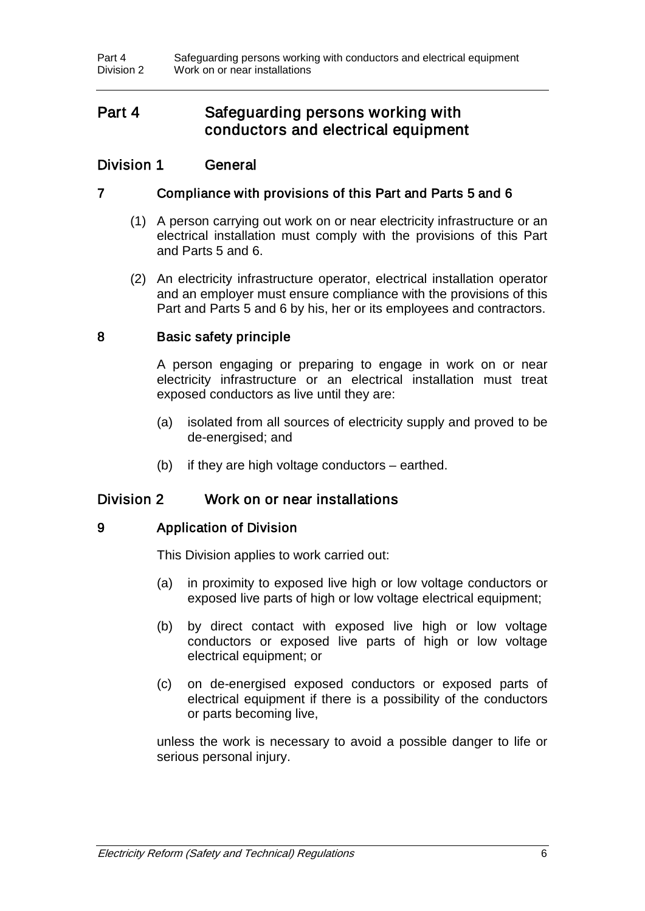# Part 4 Safeguarding persons working with conductors and electrical equipment

# Division 1 General

# 7 Compliance with provisions of this Part and Parts 5 and 6

- (1) A person carrying out work on or near electricity infrastructure or an electrical installation must comply with the provisions of this Part and Parts 5 and 6.
- (2) An electricity infrastructure operator, electrical installation operator and an employer must ensure compliance with the provisions of this Part and Parts 5 and 6 by his, her or its employees and contractors.

# 8 Basic safety principle

A person engaging or preparing to engage in work on or near electricity infrastructure or an electrical installation must treat exposed conductors as live until they are:

- (a) isolated from all sources of electricity supply and proved to be de-energised; and
- (b) if they are high voltage conductors earthed.

# Division 2 Work on or near installations

# 9 Application of Division

This Division applies to work carried out:

- (a) in proximity to exposed live high or low voltage conductors or exposed live parts of high or low voltage electrical equipment;
- (b) by direct contact with exposed live high or low voltage conductors or exposed live parts of high or low voltage electrical equipment; or
- (c) on de-energised exposed conductors or exposed parts of electrical equipment if there is a possibility of the conductors or parts becoming live,

unless the work is necessary to avoid a possible danger to life or serious personal injury.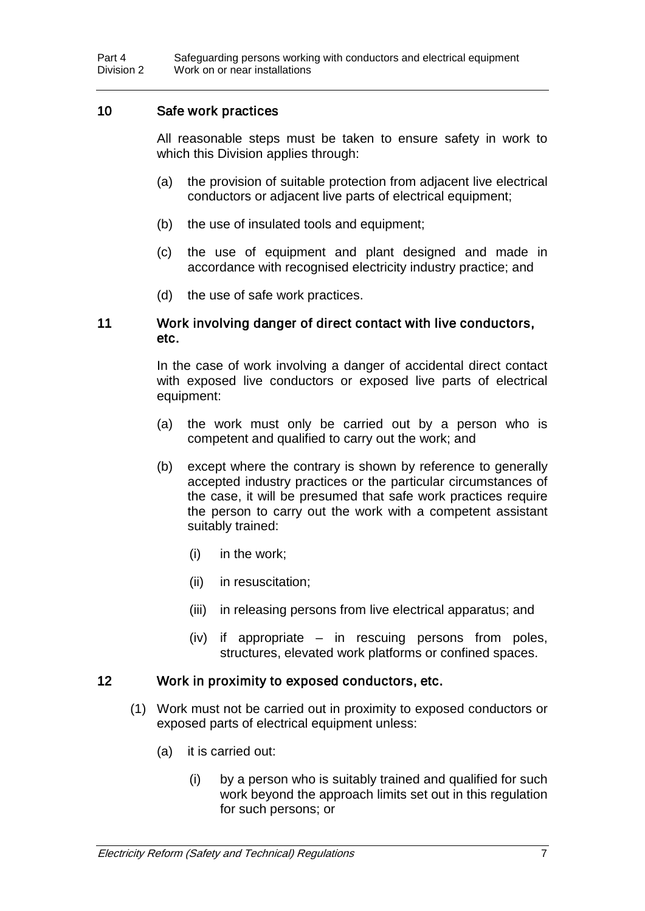# 10 Safe work practices

All reasonable steps must be taken to ensure safety in work to which this Division applies through:

- (a) the provision of suitable protection from adjacent live electrical conductors or adjacent live parts of electrical equipment;
- (b) the use of insulated tools and equipment;
- (c) the use of equipment and plant designed and made in accordance with recognised electricity industry practice; and
- (d) the use of safe work practices.

## 11 Work involving danger of direct contact with live conductors, etc.

In the case of work involving a danger of accidental direct contact with exposed live conductors or exposed live parts of electrical equipment:

- (a) the work must only be carried out by a person who is competent and qualified to carry out the work; and
- (b) except where the contrary is shown by reference to generally accepted industry practices or the particular circumstances of the case, it will be presumed that safe work practices require the person to carry out the work with a competent assistant suitably trained:
	- (i) in the work;
	- (ii) in resuscitation;
	- (iii) in releasing persons from live electrical apparatus; and
	- (iv) if appropriate in rescuing persons from poles, structures, elevated work platforms or confined spaces.

## 12 Work in proximity to exposed conductors, etc.

- (1) Work must not be carried out in proximity to exposed conductors or exposed parts of electrical equipment unless:
	- (a) it is carried out:
		- (i) by a person who is suitably trained and qualified for such work beyond the approach limits set out in this regulation for such persons; or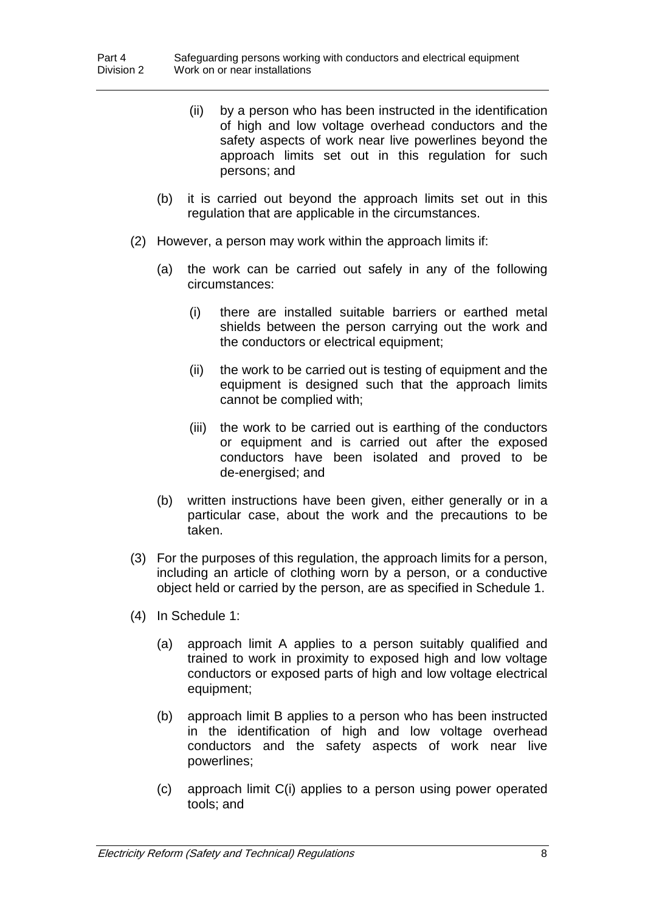- (ii) by a person who has been instructed in the identification of high and low voltage overhead conductors and the safety aspects of work near live powerlines beyond the approach limits set out in this regulation for such persons; and
- (b) it is carried out beyond the approach limits set out in this regulation that are applicable in the circumstances.
- (2) However, a person may work within the approach limits if:
	- (a) the work can be carried out safely in any of the following circumstances:
		- (i) there are installed suitable barriers or earthed metal shields between the person carrying out the work and the conductors or electrical equipment;
		- (ii) the work to be carried out is testing of equipment and the equipment is designed such that the approach limits cannot be complied with;
		- (iii) the work to be carried out is earthing of the conductors or equipment and is carried out after the exposed conductors have been isolated and proved to be de-energised; and
	- (b) written instructions have been given, either generally or in a particular case, about the work and the precautions to be taken.
- (3) For the purposes of this regulation, the approach limits for a person, including an article of clothing worn by a person, or a conductive object held or carried by the person, are as specified in Schedule 1.
- (4) In Schedule 1:
	- (a) approach limit A applies to a person suitably qualified and trained to work in proximity to exposed high and low voltage conductors or exposed parts of high and low voltage electrical equipment;
	- (b) approach limit B applies to a person who has been instructed in the identification of high and low voltage overhead conductors and the safety aspects of work near live powerlines;
	- (c) approach limit C(i) applies to a person using power operated tools; and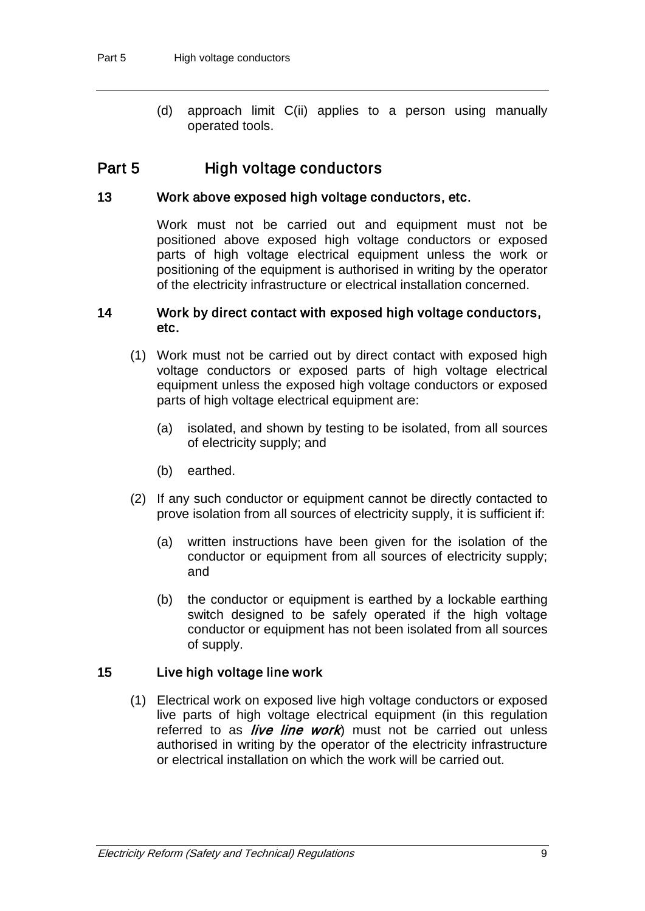(d) approach limit C(ii) applies to a person using manually operated tools.

# Part 5 High voltage conductors

# 13 Work above exposed high voltage conductors, etc.

Work must not be carried out and equipment must not be positioned above exposed high voltage conductors or exposed parts of high voltage electrical equipment unless the work or positioning of the equipment is authorised in writing by the operator of the electricity infrastructure or electrical installation concerned.

## 14 Work by direct contact with exposed high voltage conductors, etc.

- (1) Work must not be carried out by direct contact with exposed high voltage conductors or exposed parts of high voltage electrical equipment unless the exposed high voltage conductors or exposed parts of high voltage electrical equipment are:
	- (a) isolated, and shown by testing to be isolated, from all sources of electricity supply; and
	- (b) earthed.
- (2) If any such conductor or equipment cannot be directly contacted to prove isolation from all sources of electricity supply, it is sufficient if:
	- (a) written instructions have been given for the isolation of the conductor or equipment from all sources of electricity supply; and
	- (b) the conductor or equipment is earthed by a lockable earthing switch designed to be safely operated if the high voltage conductor or equipment has not been isolated from all sources of supply.

# 15 Live high voltage line work

(1) Electrical work on exposed live high voltage conductors or exposed live parts of high voltage electrical equipment (in this regulation referred to as *live line work*) must not be carried out unless authorised in writing by the operator of the electricity infrastructure or electrical installation on which the work will be carried out.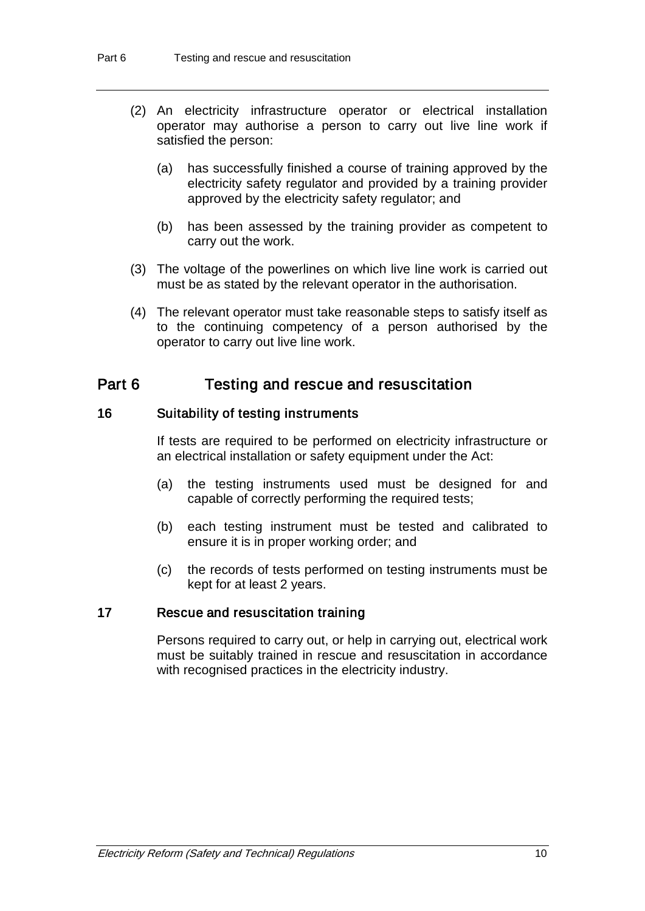- (2) An electricity infrastructure operator or electrical installation operator may authorise a person to carry out live line work if satisfied the person:
	- (a) has successfully finished a course of training approved by the electricity safety regulator and provided by a training provider approved by the electricity safety regulator; and
	- (b) has been assessed by the training provider as competent to carry out the work.
- (3) The voltage of the powerlines on which live line work is carried out must be as stated by the relevant operator in the authorisation.
- (4) The relevant operator must take reasonable steps to satisfy itself as to the continuing competency of a person authorised by the operator to carry out live line work.

# Part 6 Testing and rescue and resuscitation

# 16 Suitability of testing instruments

If tests are required to be performed on electricity infrastructure or an electrical installation or safety equipment under the Act:

- (a) the testing instruments used must be designed for and capable of correctly performing the required tests;
- (b) each testing instrument must be tested and calibrated to ensure it is in proper working order; and
- (c) the records of tests performed on testing instruments must be kept for at least 2 years.

## 17 Rescue and resuscitation training

Persons required to carry out, or help in carrying out, electrical work must be suitably trained in rescue and resuscitation in accordance with recognised practices in the electricity industry.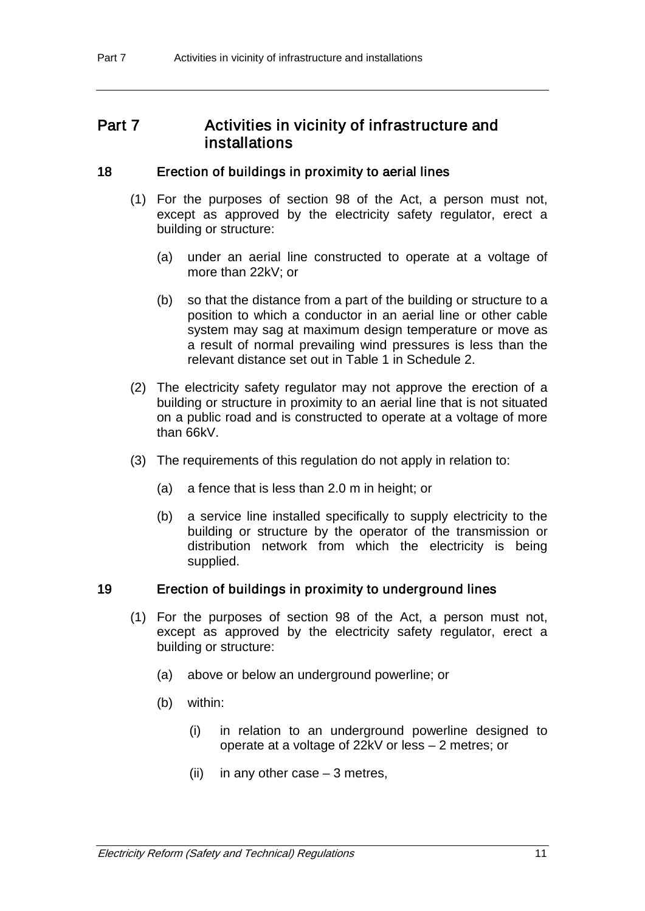# Part 7 **Activities in vicinity of infrastructure and** installations

## 18 Erection of buildings in proximity to aerial lines

- (1) For the purposes of section 98 of the Act, a person must not, except as approved by the electricity safety regulator, erect a building or structure:
	- (a) under an aerial line constructed to operate at a voltage of more than 22kV; or
	- (b) so that the distance from a part of the building or structure to a position to which a conductor in an aerial line or other cable system may sag at maximum design temperature or move as a result of normal prevailing wind pressures is less than the relevant distance set out in Table 1 in Schedule 2.
- (2) The electricity safety regulator may not approve the erection of a building or structure in proximity to an aerial line that is not situated on a public road and is constructed to operate at a voltage of more than 66kV.
- (3) The requirements of this regulation do not apply in relation to:
	- (a) a fence that is less than 2.0 m in height; or
	- (b) a service line installed specifically to supply electricity to the building or structure by the operator of the transmission or distribution network from which the electricity is being supplied.

## 19 Erection of buildings in proximity to underground lines

- (1) For the purposes of section 98 of the Act, a person must not, except as approved by the electricity safety regulator, erect a building or structure:
	- (a) above or below an underground powerline; or
	- (b) within:
		- (i) in relation to an underground powerline designed to operate at a voltage of 22kV or less – 2 metres; or
		- $(ii)$  in any other case  $-3$  metres,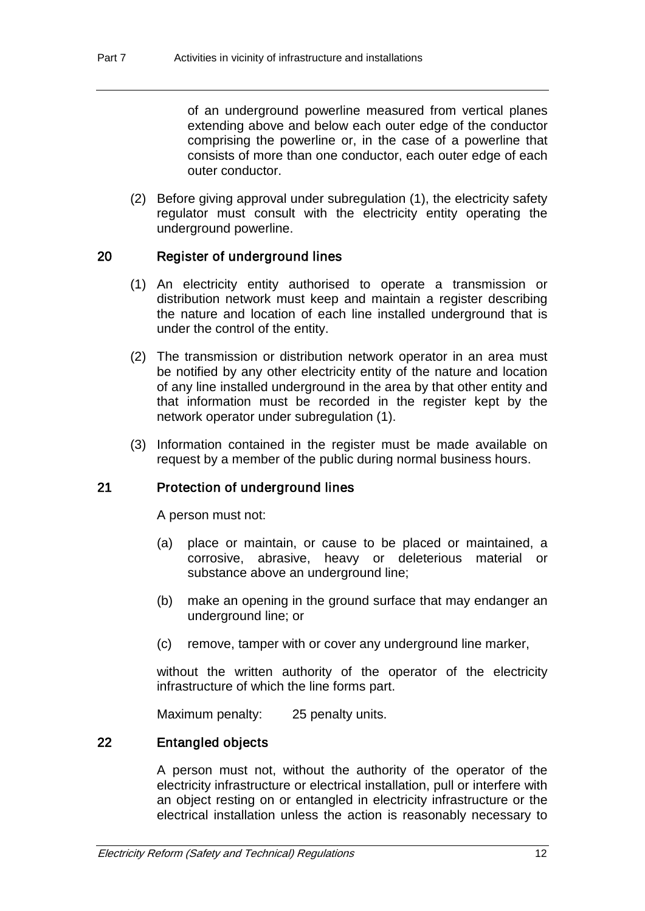of an underground powerline measured from vertical planes extending above and below each outer edge of the conductor comprising the powerline or, in the case of a powerline that consists of more than one conductor, each outer edge of each outer conductor.

(2) Before giving approval under subregulation (1), the electricity safety regulator must consult with the electricity entity operating the underground powerline.

# 20 Register of underground lines

- (1) An electricity entity authorised to operate a transmission or distribution network must keep and maintain a register describing the nature and location of each line installed underground that is under the control of the entity.
- (2) The transmission or distribution network operator in an area must be notified by any other electricity entity of the nature and location of any line installed underground in the area by that other entity and that information must be recorded in the register kept by the network operator under subregulation (1).
- (3) Information contained in the register must be made available on request by a member of the public during normal business hours.

# 21 Protection of underground lines

A person must not:

- (a) place or maintain, or cause to be placed or maintained, a corrosive, abrasive, heavy or deleterious material or substance above an underground line;
- (b) make an opening in the ground surface that may endanger an underground line; or
- (c) remove, tamper with or cover any underground line marker,

without the written authority of the operator of the electricity infrastructure of which the line forms part.

Maximum penalty: 25 penalty units.

# 22 Entangled objects

A person must not, without the authority of the operator of the electricity infrastructure or electrical installation, pull or interfere with an object resting on or entangled in electricity infrastructure or the electrical installation unless the action is reasonably necessary to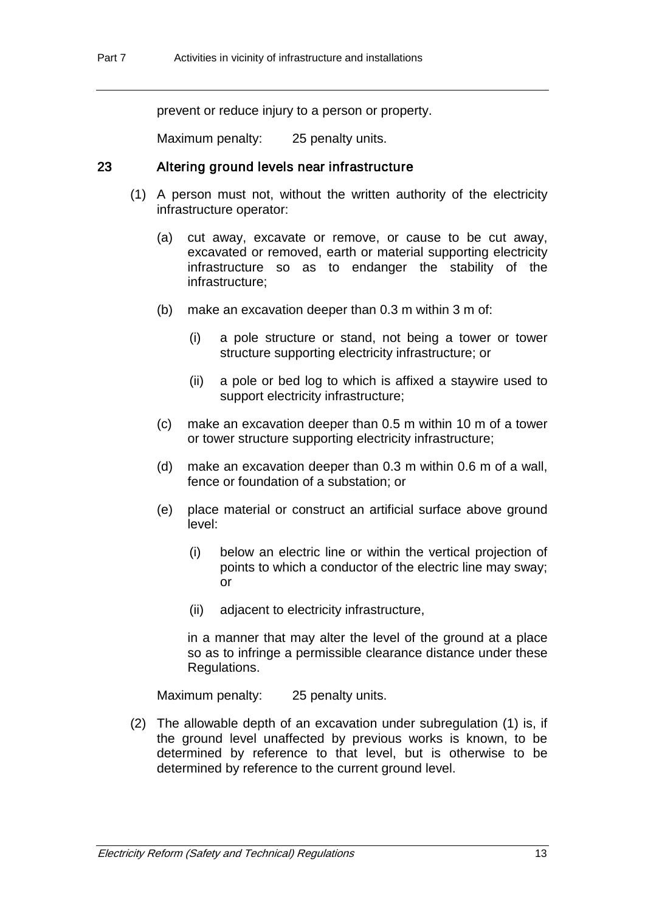prevent or reduce injury to a person or property.

Maximum penalty: 25 penalty units.

### 23 Altering ground levels near infrastructure

- (1) A person must not, without the written authority of the electricity infrastructure operator:
	- (a) cut away, excavate or remove, or cause to be cut away, excavated or removed, earth or material supporting electricity infrastructure so as to endanger the stability of the infrastructure;
	- (b) make an excavation deeper than 0.3 m within 3 m of:
		- (i) a pole structure or stand, not being a tower or tower structure supporting electricity infrastructure; or
		- (ii) a pole or bed log to which is affixed a staywire used to support electricity infrastructure;
	- (c) make an excavation deeper than 0.5 m within 10 m of a tower or tower structure supporting electricity infrastructure;
	- (d) make an excavation deeper than 0.3 m within 0.6 m of a wall, fence or foundation of a substation; or
	- (e) place material or construct an artificial surface above ground level:
		- (i) below an electric line or within the vertical projection of points to which a conductor of the electric line may sway; or
		- (ii) adjacent to electricity infrastructure,

in a manner that may alter the level of the ground at a place so as to infringe a permissible clearance distance under these Regulations.

Maximum penalty: 25 penalty units.

(2) The allowable depth of an excavation under subregulation (1) is, if the ground level unaffected by previous works is known, to be determined by reference to that level, but is otherwise to be determined by reference to the current ground level.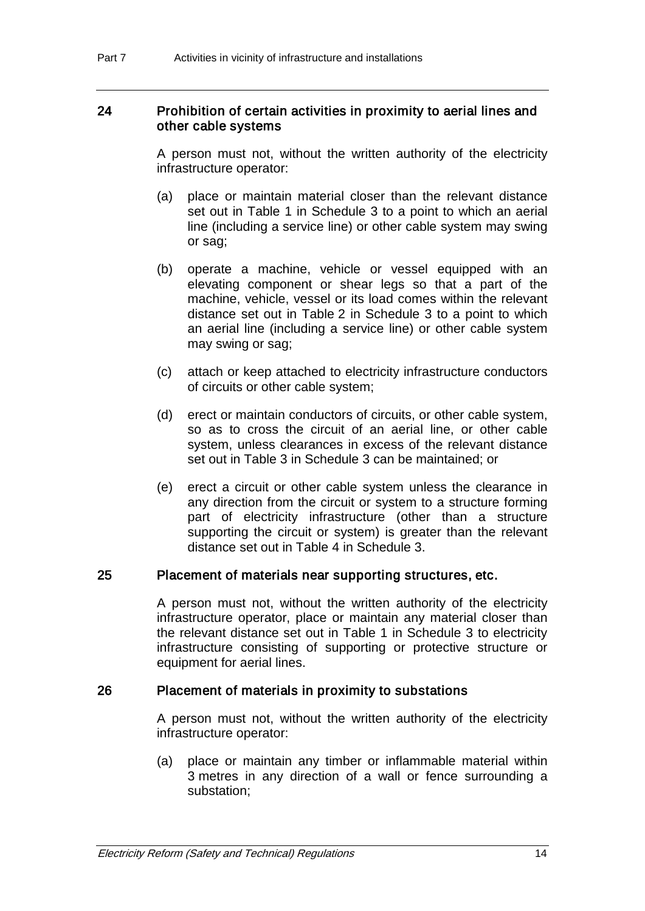### 24 Prohibition of certain activities in proximity to aerial lines and other cable systems

A person must not, without the written authority of the electricity infrastructure operator:

- (a) place or maintain material closer than the relevant distance set out in Table 1 in Schedule 3 to a point to which an aerial line (including a service line) or other cable system may swing or sag;
- (b) operate a machine, vehicle or vessel equipped with an elevating component or shear legs so that a part of the machine, vehicle, vessel or its load comes within the relevant distance set out in Table 2 in Schedule 3 to a point to which an aerial line (including a service line) or other cable system may swing or sag;
- (c) attach or keep attached to electricity infrastructure conductors of circuits or other cable system;
- (d) erect or maintain conductors of circuits, or other cable system, so as to cross the circuit of an aerial line, or other cable system, unless clearances in excess of the relevant distance set out in Table 3 in Schedule 3 can be maintained; or
- (e) erect a circuit or other cable system unless the clearance in any direction from the circuit or system to a structure forming part of electricity infrastructure (other than a structure supporting the circuit or system) is greater than the relevant distance set out in Table 4 in Schedule 3.

## 25 Placement of materials near supporting structures, etc.

A person must not, without the written authority of the electricity infrastructure operator, place or maintain any material closer than the relevant distance set out in Table 1 in Schedule 3 to electricity infrastructure consisting of supporting or protective structure or equipment for aerial lines.

### 26 Placement of materials in proximity to substations

A person must not, without the written authority of the electricity infrastructure operator:

(a) place or maintain any timber or inflammable material within 3 metres in any direction of a wall or fence surrounding a substation;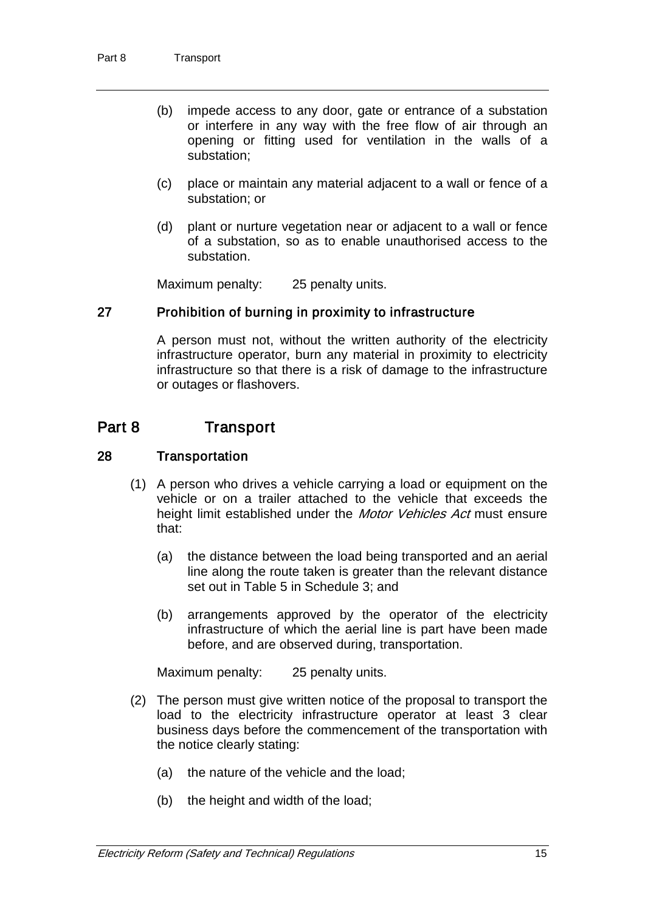- (b) impede access to any door, gate or entrance of a substation or interfere in any way with the free flow of air through an opening or fitting used for ventilation in the walls of a substation;
- (c) place or maintain any material adjacent to a wall or fence of a substation; or
- (d) plant or nurture vegetation near or adjacent to a wall or fence of a substation, so as to enable unauthorised access to the substation.

Maximum penalty: 25 penalty units.

# 27 Prohibition of burning in proximity to infrastructure

A person must not, without the written authority of the electricity infrastructure operator, burn any material in proximity to electricity infrastructure so that there is a risk of damage to the infrastructure or outages or flashovers.

# Part 8 Transport

## 28 Transportation

- (1) A person who drives a vehicle carrying a load or equipment on the vehicle or on a trailer attached to the vehicle that exceeds the height limit established under the *Motor Vehicles Act* must ensure that:
	- (a) the distance between the load being transported and an aerial line along the route taken is greater than the relevant distance set out in Table 5 in Schedule 3; and
	- (b) arrangements approved by the operator of the electricity infrastructure of which the aerial line is part have been made before, and are observed during, transportation.

Maximum penalty: 25 penalty units.

- (2) The person must give written notice of the proposal to transport the load to the electricity infrastructure operator at least 3 clear business days before the commencement of the transportation with the notice clearly stating:
	- (a) the nature of the vehicle and the load;
	- (b) the height and width of the load;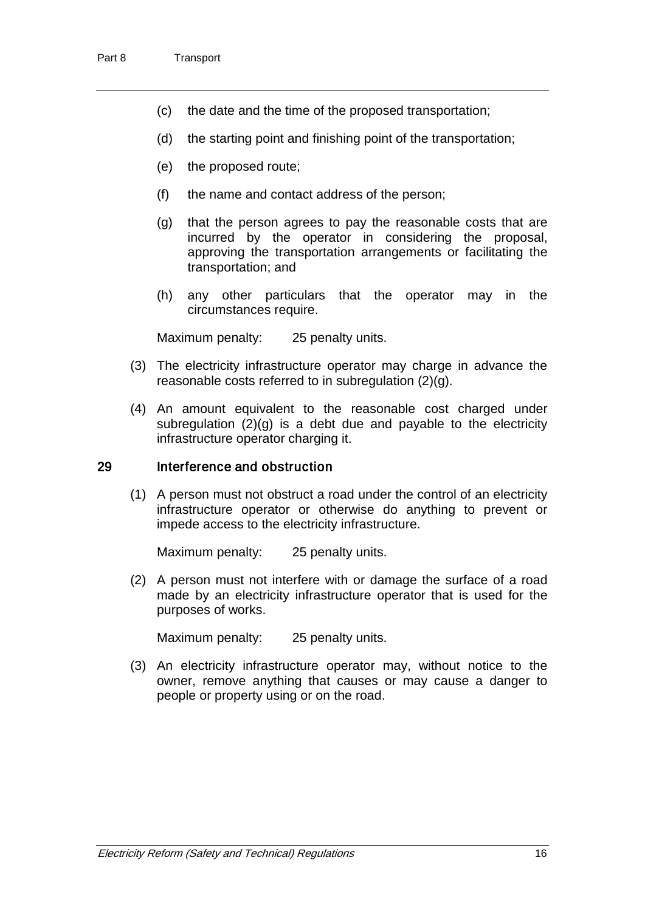- (c) the date and the time of the proposed transportation;
- (d) the starting point and finishing point of the transportation;
- (e) the proposed route;
- (f) the name and contact address of the person;
- (g) that the person agrees to pay the reasonable costs that are incurred by the operator in considering the proposal, approving the transportation arrangements or facilitating the transportation; and
- (h) any other particulars that the operator may in the circumstances require.

Maximum penalty: 25 penalty units.

- (3) The electricity infrastructure operator may charge in advance the reasonable costs referred to in subregulation (2)(g).
- (4) An amount equivalent to the reasonable cost charged under subregulation  $(2)(q)$  is a debt due and payable to the electricity infrastructure operator charging it.

#### 29 Interference and obstruction

(1) A person must not obstruct a road under the control of an electricity infrastructure operator or otherwise do anything to prevent or impede access to the electricity infrastructure.

Maximum penalty: 25 penalty units.

(2) A person must not interfere with or damage the surface of a road made by an electricity infrastructure operator that is used for the purposes of works.

Maximum penalty: 25 penalty units.

(3) An electricity infrastructure operator may, without notice to the owner, remove anything that causes or may cause a danger to people or property using or on the road.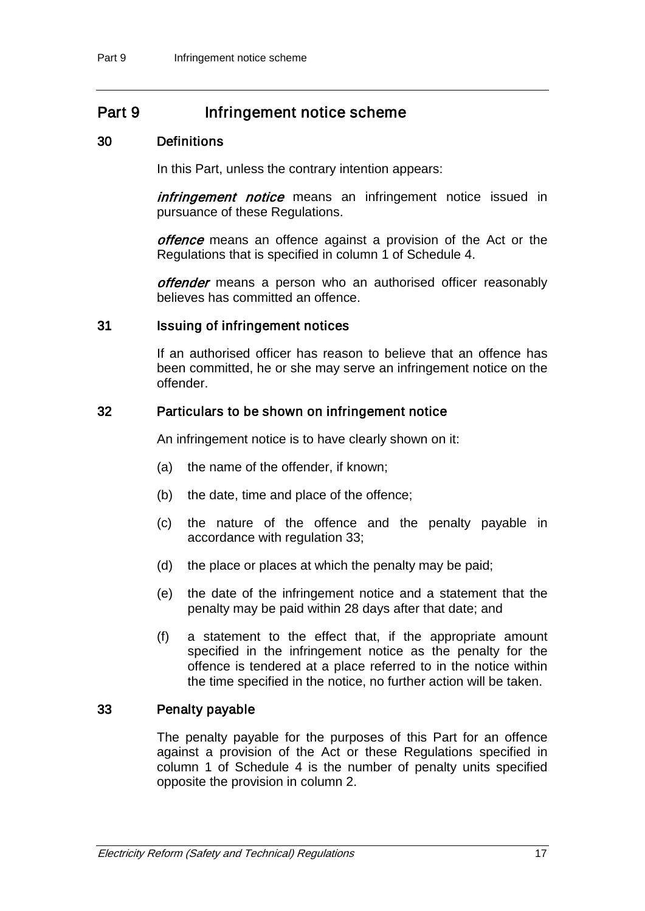# Part 9 Infringement notice scheme

# 30 Definitions

In this Part, unless the contrary intention appears:

infringement notice means an infringement notice issued in pursuance of these Regulations.

offence means an offence against a provision of the Act or the Regulations that is specified in column 1 of Schedule 4.

offender means a person who an authorised officer reasonably believes has committed an offence.

#### 31 Issuing of infringement notices

If an authorised officer has reason to believe that an offence has been committed, he or she may serve an infringement notice on the offender.

#### 32 Particulars to be shown on infringement notice

An infringement notice is to have clearly shown on it:

- (a) the name of the offender, if known;
- (b) the date, time and place of the offence;
- (c) the nature of the offence and the penalty payable in accordance with regulation 33;
- (d) the place or places at which the penalty may be paid;
- (e) the date of the infringement notice and a statement that the penalty may be paid within 28 days after that date; and
- (f) a statement to the effect that, if the appropriate amount specified in the infringement notice as the penalty for the offence is tendered at a place referred to in the notice within the time specified in the notice, no further action will be taken.

# 33 Penalty payable

The penalty payable for the purposes of this Part for an offence against a provision of the Act or these Regulations specified in column 1 of Schedule 4 is the number of penalty units specified opposite the provision in column 2.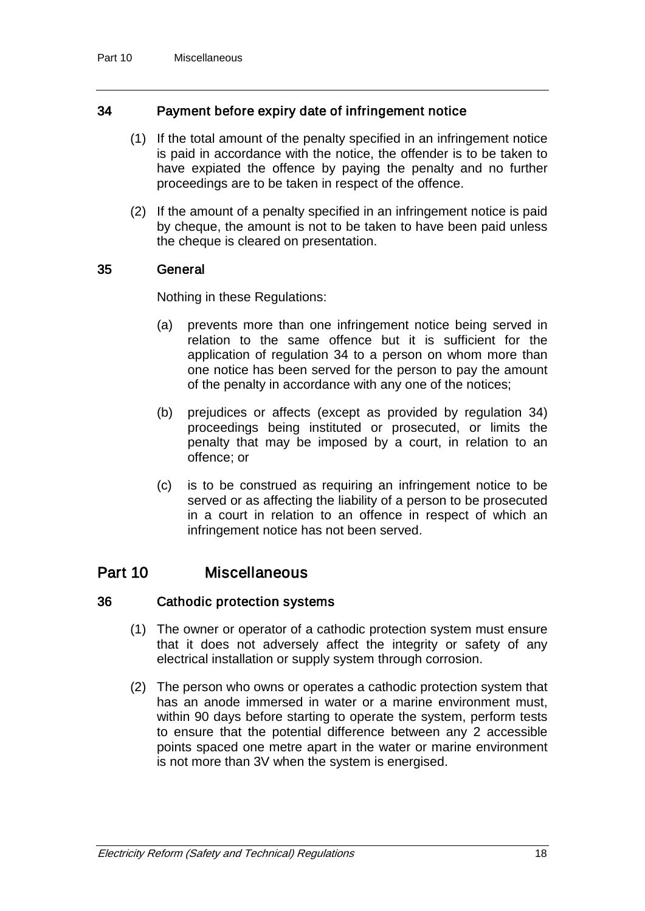# 34 Payment before expiry date of infringement notice

- (1) If the total amount of the penalty specified in an infringement notice is paid in accordance with the notice, the offender is to be taken to have expiated the offence by paying the penalty and no further proceedings are to be taken in respect of the offence.
- (2) If the amount of a penalty specified in an infringement notice is paid by cheque, the amount is not to be taken to have been paid unless the cheque is cleared on presentation.

# 35 General

Nothing in these Regulations:

- (a) prevents more than one infringement notice being served in relation to the same offence but it is sufficient for the application of regulation 34 to a person on whom more than one notice has been served for the person to pay the amount of the penalty in accordance with any one of the notices;
- (b) prejudices or affects (except as provided by regulation 34) proceedings being instituted or prosecuted, or limits the penalty that may be imposed by a court, in relation to an offence; or
- (c) is to be construed as requiring an infringement notice to be served or as affecting the liability of a person to be prosecuted in a court in relation to an offence in respect of which an infringement notice has not been served.

# Part 10 Miscellaneous

### 36 Cathodic protection systems

- (1) The owner or operator of a cathodic protection system must ensure that it does not adversely affect the integrity or safety of any electrical installation or supply system through corrosion.
- (2) The person who owns or operates a cathodic protection system that has an anode immersed in water or a marine environment must, within 90 days before starting to operate the system, perform tests to ensure that the potential difference between any 2 accessible points spaced one metre apart in the water or marine environment is not more than 3V when the system is energised.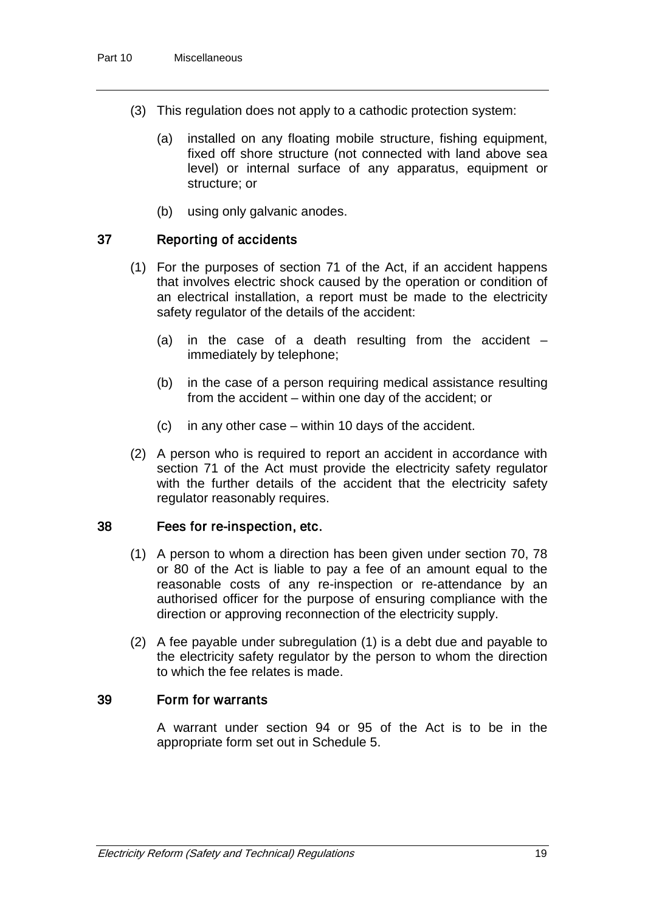- (3) This regulation does not apply to a cathodic protection system:
	- (a) installed on any floating mobile structure, fishing equipment, fixed off shore structure (not connected with land above sea level) or internal surface of any apparatus, equipment or structure; or
	- (b) using only galvanic anodes.

# 37 Reporting of accidents

- (1) For the purposes of section 71 of the Act, if an accident happens that involves electric shock caused by the operation or condition of an electrical installation, a report must be made to the electricity safety regulator of the details of the accident:
	- (a) in the case of a death resulting from the accident  $$ immediately by telephone;
	- (b) in the case of a person requiring medical assistance resulting from the accident – within one day of the accident; or
	- (c) in any other case within 10 days of the accident.
- (2) A person who is required to report an accident in accordance with section 71 of the Act must provide the electricity safety regulator with the further details of the accident that the electricity safety regulator reasonably requires.

### 38 Fees for re-inspection, etc.

- (1) A person to whom a direction has been given under section 70, 78 or 80 of the Act is liable to pay a fee of an amount equal to the reasonable costs of any re-inspection or re-attendance by an authorised officer for the purpose of ensuring compliance with the direction or approving reconnection of the electricity supply.
- (2) A fee payable under subregulation (1) is a debt due and payable to the electricity safety regulator by the person to whom the direction to which the fee relates is made.

## 39 Form for warrants

A warrant under section 94 or 95 of the Act is to be in the appropriate form set out in Schedule 5.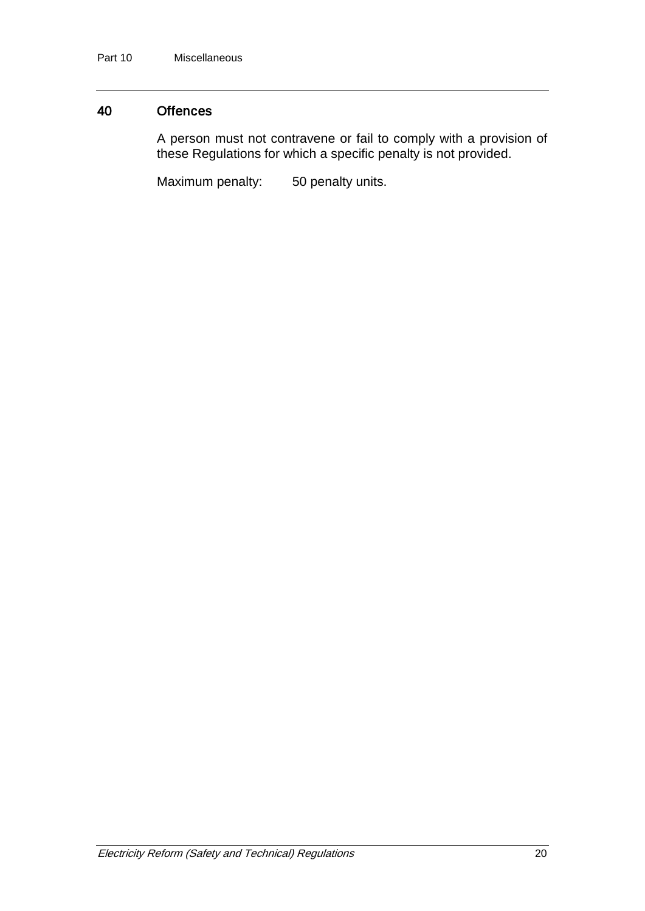# 40 Offences

A person must not contravene or fail to comply with a provision of these Regulations for which a specific penalty is not provided.

Maximum penalty: 50 penalty units.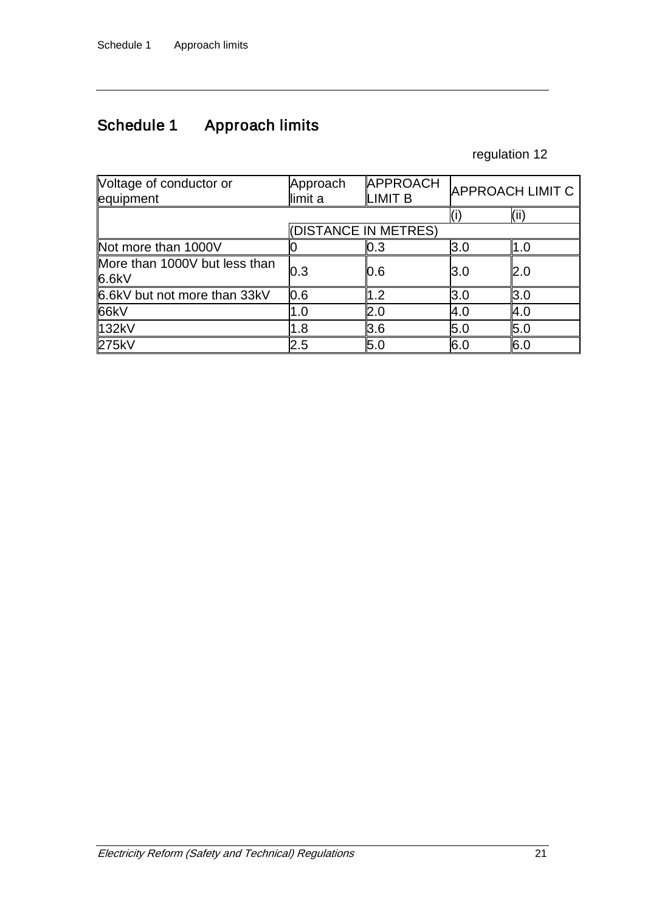# Schedule 1 Approach limits

# regulation 12

| Voltage of conductor or<br>equipment | Approach<br>limit a  | APPROACH<br>LIMIT <sub>B</sub> |      | <b>APPROACH LIMIT C</b> |
|--------------------------------------|----------------------|--------------------------------|------|-------------------------|
|                                      |                      |                                |      | (iii)                   |
|                                      | (DISTANCE IN METRES) |                                |      |                         |
| Not more than 1000V                  |                      | 0.3                            | 3.0  | 1.0                     |
| More than 1000V but less than        | 0.3                  | 0.6                            | l3.0 | 2.0                     |
| 6.6kV                                |                      |                                |      |                         |
| 6.6kV but not more than 33kV         | 0.6                  | 1.2                            | 3.0  | 3.0                     |
| 66kV                                 | 1.0                  | 2.0                            | 4.0  | 4.0                     |
| 132kV                                | 1.8                  | 3.6                            | 5.0  | 5.0                     |
| 275kV                                | 2.5                  | 5.0                            | 6.0  | 6.0                     |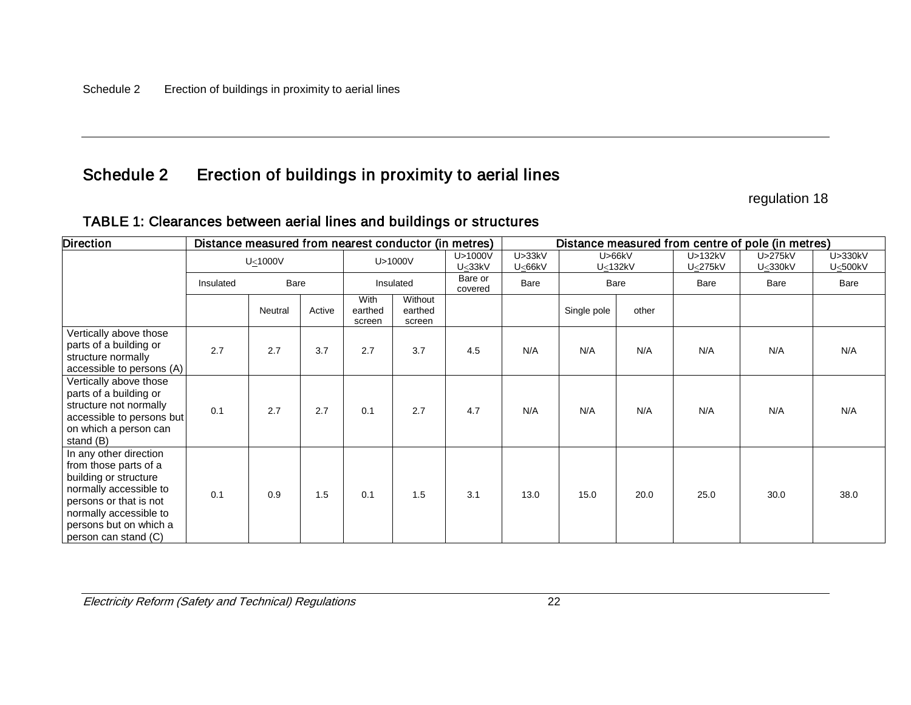# Schedule 2 Erection of buildings in proximity to aerial lines

regulation 18

| <b>Direction</b>                                                                                                                                                                                         | Distance measured from nearest conductor (in metres) |         |        |                           |                              |                              | Distance measured from centre of pole (in metres) |                     |       |                    |                    |                    |
|----------------------------------------------------------------------------------------------------------------------------------------------------------------------------------------------------------|------------------------------------------------------|---------|--------|---------------------------|------------------------------|------------------------------|---------------------------------------------------|---------------------|-------|--------------------|--------------------|--------------------|
|                                                                                                                                                                                                          | $U \leq 1000V$                                       |         |        | U>1000V                   |                              | U>1000V<br>U <sub>33kV</sub> | U > 33kV<br>U<66kV                                | U > 66kV<br>U<132kV |       | U>132kV<br>U<275kV | U>275kV<br>U<330kV | U>330kV<br>U<500kV |
|                                                                                                                                                                                                          | Insulated                                            | Bare    |        |                           | Insulated                    | Bare or<br>covered           | Bare                                              |                     | Bare  | Bare               | Bare               | Bare               |
|                                                                                                                                                                                                          |                                                      | Neutral | Active | With<br>earthed<br>screen | Without<br>earthed<br>screen |                              |                                                   | Single pole         | other |                    |                    |                    |
| Vertically above those<br>parts of a building or<br>structure normally<br>accessible to persons (A)                                                                                                      | 2.7                                                  | 2.7     | 3.7    | 2.7                       | 3.7                          | 4.5                          | N/A                                               | N/A                 | N/A   | N/A                | N/A                | N/A                |
| Vertically above those<br>parts of a building or<br>structure not normally<br>accessible to persons but<br>on which a person can<br>stand (B)                                                            | 0.1                                                  | 2.7     | 2.7    | 0.1                       | 2.7                          | 4.7                          | N/A                                               | N/A                 | N/A   | N/A                | N/A                | N/A                |
| In any other direction<br>from those parts of a<br>building or structure<br>normally accessible to<br>persons or that is not<br>normally accessible to<br>persons but on which a<br>person can stand (C) | 0.1                                                  | 0.9     | 1.5    | 0.1                       | 1.5                          | 3.1                          | 13.0                                              | 15.0                | 20.0  | 25.0               | 30.0               | 38.0               |

# TABLE 1: Clearances between aerial lines and buildings or structures

Electricity Reform (Safety and Technical) Regulations 22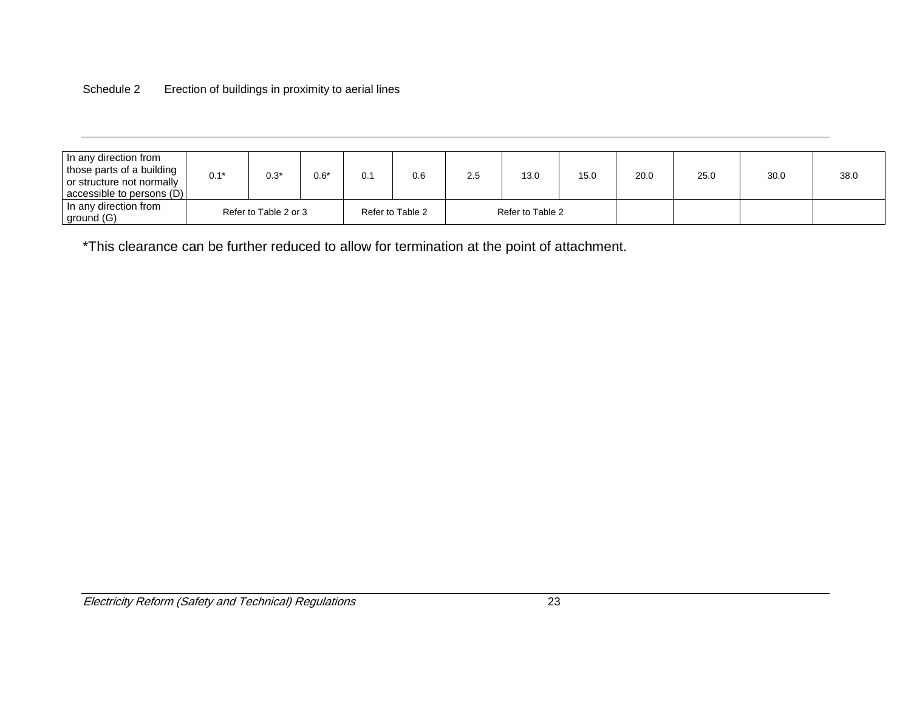### Schedule 2 Erection of buildings in proximity to aerial lines

| In any direction from     |        |                       |        |                  |     |                  |      |      |      |      |      |
|---------------------------|--------|-----------------------|--------|------------------|-----|------------------|------|------|------|------|------|
| those parts of a building | $0.1*$ | $0.3*$                |        |                  |     | 13.0             | 15.0 |      |      |      |      |
| or structure not normally |        |                       | $0.6*$ | 0.6              | 2.5 |                  |      | 20.0 | 25.0 | 30.0 | 38.0 |
| accessible to persons (D) |        |                       |        |                  |     |                  |      |      |      |      |      |
| In any direction from     |        | Refer to Table 2 or 3 |        |                  |     | Refer to Table 2 |      |      |      |      |      |
| ground (G)                |        |                       |        | Refer to Table 2 |     |                  |      |      |      |      |      |

\*This clearance can be further reduced to allow for termination at the point of attachment.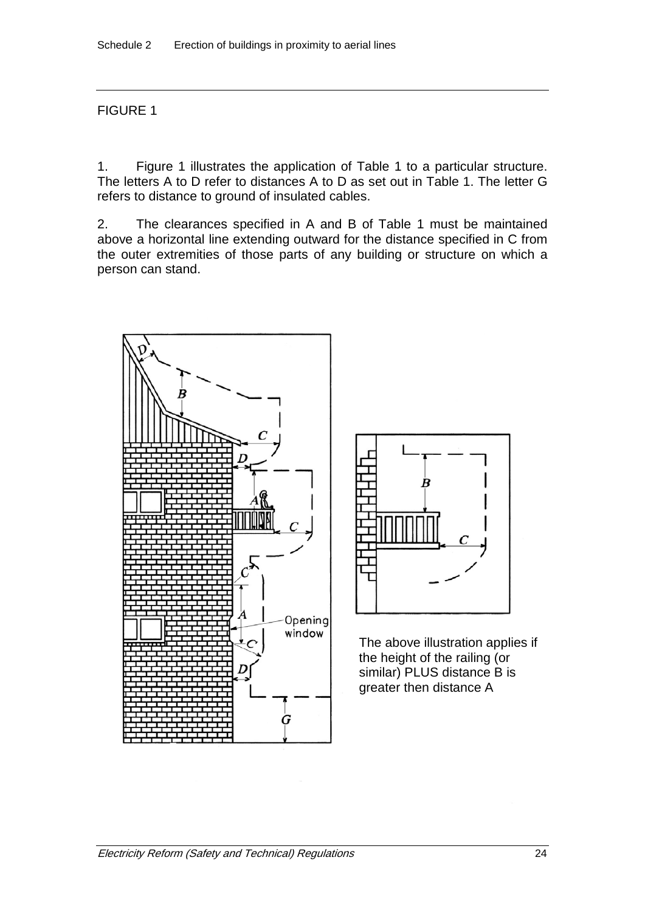# FIGURE 1

1. Figure 1 illustrates the application of Table 1 to a particular structure. The letters A to D refer to distances A to D as set out in Table 1. The letter G refers to distance to ground of insulated cables.

2. The clearances specified in A and B of Table 1 must be maintained above a horizontal line extending outward for the distance specified in C from the outer extremities of those parts of any building or structure on which a person can stand.





The above illustration applies if the height of the railing (or similar) PLUS distance B is greater then distance A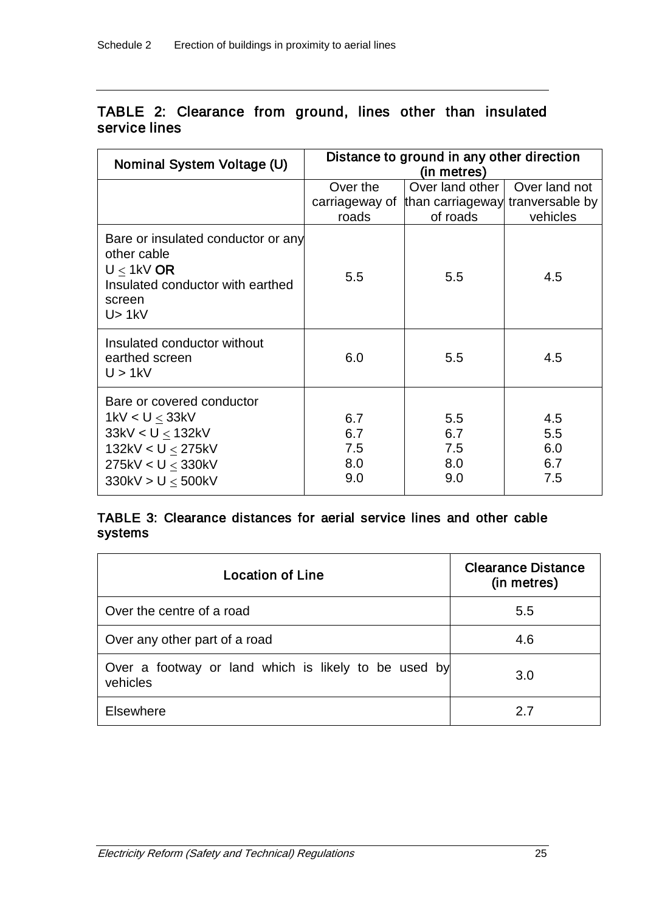# TABLE 2: Clearance from ground, lines other than insulated service lines

| Nominal System Voltage (U)                                                                                                        | Distance to ground in any other direction<br>(in metres) |                                                                                |                                 |  |  |  |
|-----------------------------------------------------------------------------------------------------------------------------------|----------------------------------------------------------|--------------------------------------------------------------------------------|---------------------------------|--|--|--|
|                                                                                                                                   | Over the<br>roads                                        | Over land other<br>carriageway of than carriageway tranversable by<br>of roads | Over land not<br>vehicles       |  |  |  |
| Bare or insulated conductor or any<br>other cable<br>$U < 1$ kV OR<br>Insulated conductor with earthed<br>screen<br>U > 1kV       | 5.5                                                      | 5.5                                                                            | 4.5                             |  |  |  |
| Insulated conductor without<br>earthed screen<br>U > 1kV                                                                          | 6.0                                                      | 5.5                                                                            | 4.5                             |  |  |  |
| Bare or covered conductor<br>$1$ kV < U < 33kV<br>33kV < U < 132kV<br>132kV < U < 275kV<br>275kV < U < 330kV<br>330kV > U < 500kV | 6.7<br>6.7<br>7.5<br>8.0<br>9.0                          | 5.5<br>6.7<br>7.5<br>8.0<br>9.0                                                | 4.5<br>5.5<br>6.0<br>6.7<br>7.5 |  |  |  |

# TABLE 3: Clearance distances for aerial service lines and other cable systems

| <b>Location of Line</b>                                          | <b>Clearance Distance</b><br>(in metres) |
|------------------------------------------------------------------|------------------------------------------|
| Over the centre of a road                                        | 5.5                                      |
| Over any other part of a road                                    | 4.6                                      |
| Over a footway or land which is likely to be used by<br>vehicles | 3.0                                      |
| <b>Elsewhere</b>                                                 | 27                                       |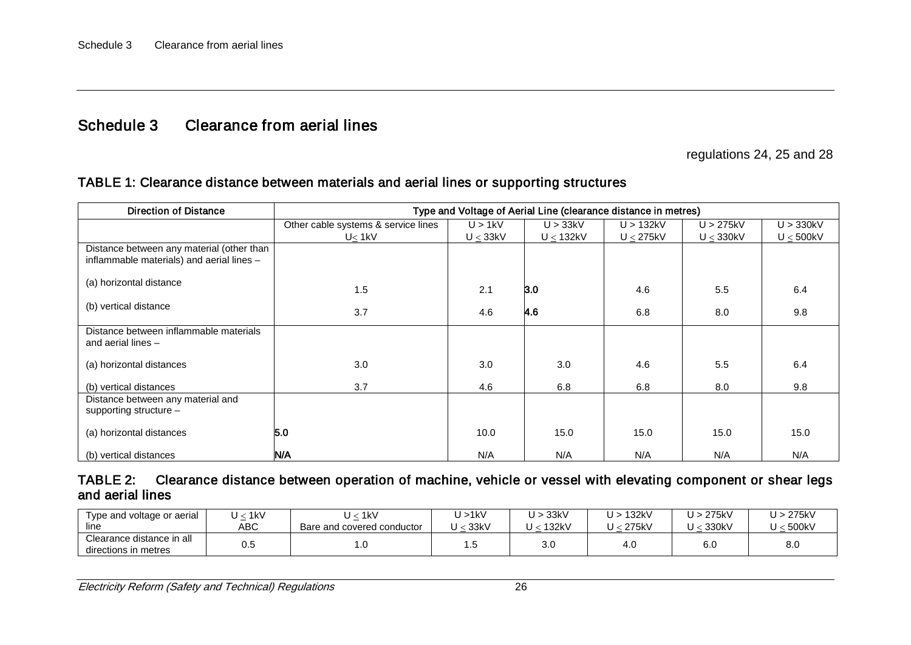# Schedule 3 Clearance from aerial lines

regulations 24, 25 and 28

| <b>Direction of Distance</b>                                                           | Type and Voltage of Aerial Line (clearance distance in metres) |               |                |                |                |                |
|----------------------------------------------------------------------------------------|----------------------------------------------------------------|---------------|----------------|----------------|----------------|----------------|
|                                                                                        | Other cable systems & service lines                            | U > 1kV       | U > 33kV       | U > 132kV      | U > 275kV      | U > 330kV      |
|                                                                                        | $U_{\leq}$ 1kV                                                 | $U \leq 33kV$ | $U \leq 132kV$ | $U \leq 275kV$ | $U \leq 330kV$ | $U \leq 500kV$ |
| Distance between any material (other than<br>inflammable materials) and aerial lines - |                                                                |               |                |                |                |                |
| (a) horizontal distance                                                                | 1.5                                                            | 2.1           | 3.0            | 4.6            | 5.5            | 6.4            |
| (b) vertical distance                                                                  | 3.7                                                            | 4.6           | 4.6            | 6.8            | 8.0            | 9.8            |
| Distance between inflammable materials<br>and aerial lines -                           |                                                                |               |                |                |                |                |
| (a) horizontal distances                                                               | 3.0                                                            | 3.0           | 3.0            | 4.6            | 5.5            | 6.4            |
| (b) vertical distances                                                                 | 3.7                                                            | 4.6           | 6.8            | 6.8            | 8.0            | 9.8            |
| Distance between any material and<br>supporting structure -                            |                                                                |               |                |                |                |                |
| (a) horizontal distances                                                               | 5.0                                                            | 10.0          | 15.0           | 15.0           | 15.0           | 15.0           |
| (b) vertical distances                                                                 | N/A                                                            | N/A           | N/A            | N/A            | N/A            | N/A            |

#### TABLE 2: Clearance distance between operation of machine, vehicle or vessel with elevating component or shear legs and aerial lines

| Type and voltage or aerial<br>line                | $<$ 1kV<br>ABC       | $<$ 1kV<br>Bare and covered conductor | U > 1kV<br>33kV | U > 33kV<br>U .<br>: 132kV | U > 132kV<br>$<$ 275kV | U > 275kV<br>330kV | U > 275kV<br>U < 500kV |
|---------------------------------------------------|----------------------|---------------------------------------|-----------------|----------------------------|------------------------|--------------------|------------------------|
| Clearance distance in all<br>directions in metres | $\cap$ $\sim$<br>∪.∪ | $\cdot \cdot$                         | ں ،             | 3.0                        | 4.U                    | 6.0                | 8.0                    |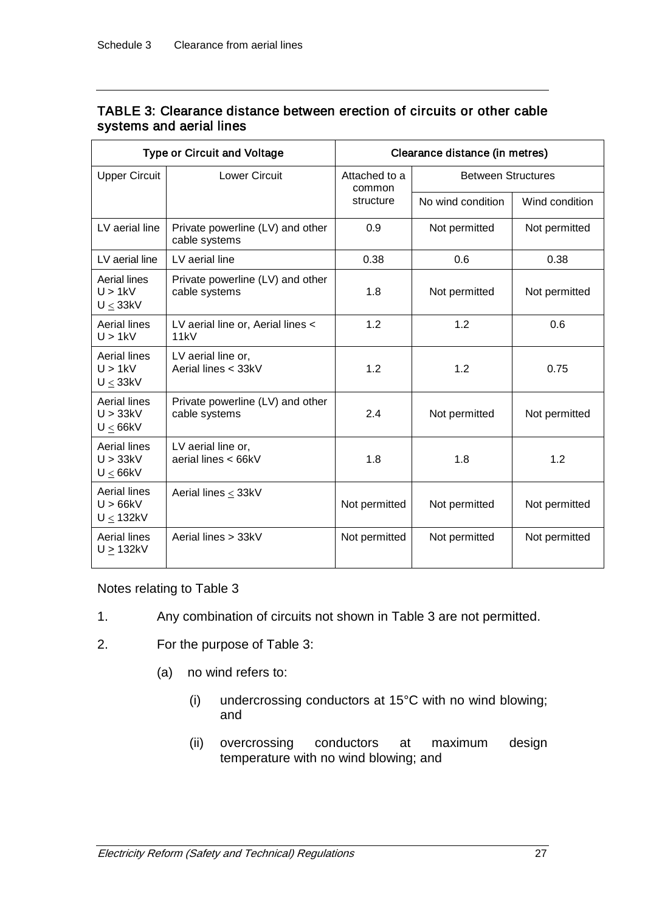| <b>Type or Circuit and Voltage</b>               |                                                   | Clearance distance (in metres) |                           |                |  |
|--------------------------------------------------|---------------------------------------------------|--------------------------------|---------------------------|----------------|--|
| <b>Upper Circuit</b>                             | <b>Lower Circuit</b>                              | Attached to a<br>common        | <b>Between Structures</b> |                |  |
|                                                  |                                                   | structure                      | No wind condition         | Wind condition |  |
| LV aerial line                                   | Private powerline (LV) and other<br>cable systems | 0.9                            | Not permitted             | Not permitted  |  |
| LV aerial line                                   | LV aerial line                                    | 0.38                           | 0.6                       | 0.38           |  |
| <b>Aerial lines</b><br>U > 1kV<br>$U \leq 33kV$  | Private powerline (LV) and other<br>cable systems | 1.8                            | Not permitted             | Not permitted  |  |
| <b>Aerial lines</b><br>U > 1kV                   | LV aerial line or, Aerial lines <<br>11kV         | 1.2                            | 1.2                       | 0.6            |  |
| Aerial lines<br>U > 1kV<br>U < 33kV              | LV aerial line or,<br>Aerial lines < 33kV         | 1.2                            | 1.2                       | 0.75           |  |
| <b>Aerial lines</b><br>U > 33kV<br>$U \leq 66kV$ | Private powerline (LV) and other<br>cable systems | 2.4                            | Not permitted             | Not permitted  |  |
| <b>Aerial lines</b><br>U > 33kV<br>U < 66kV      | LV aerial line or,<br>aerial lines < 66kV         | 1.8                            | 1.8                       | 1.2            |  |
| <b>Aerial lines</b><br>U > 66kV<br>U < 132kV     | Aerial lines < 33kV                               | Not permitted                  | Not permitted             | Not permitted  |  |
| Aerial lines<br>U > 132kV                        | Aerial lines > 33kV                               | Not permitted                  | Not permitted             | Not permitted  |  |

# TABLE 3: Clearance distance between erection of circuits or other cable systems and aerial lines

## Notes relating to Table 3

- 1. Any combination of circuits not shown in Table 3 are not permitted.
- 2. For the purpose of Table 3:
	- (a) no wind refers to:
		- (i) undercrossing conductors at 15°C with no wind blowing; and
		- (ii) overcrossing conductors at maximum design temperature with no wind blowing; and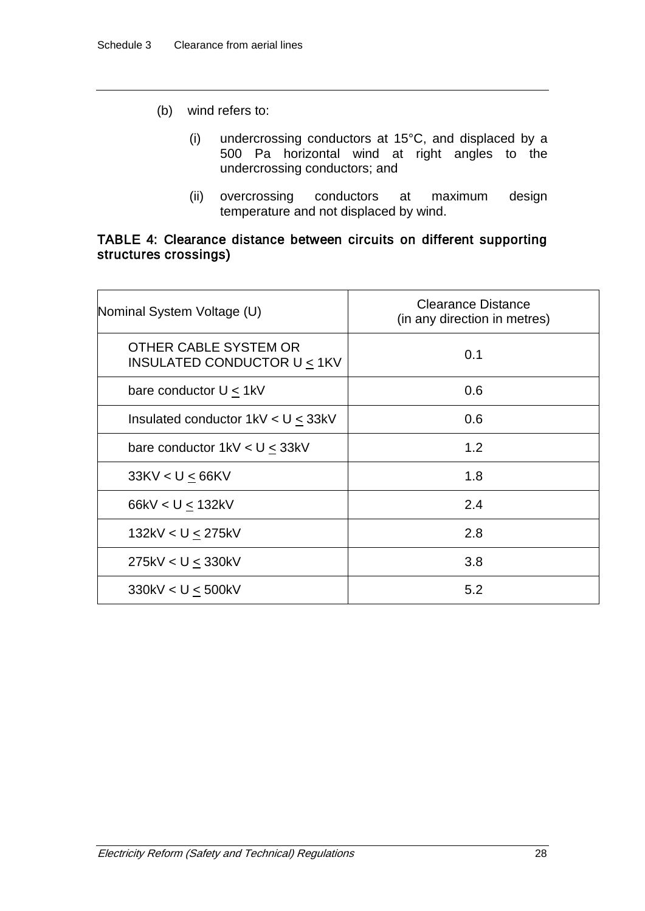- (b) wind refers to:
	- (i) undercrossing conductors at 15°C, and displaced by a 500 Pa horizontal wind at right angles to the undercrossing conductors; and
	- (ii) overcrossing conductors at maximum design temperature and not displaced by wind.

## TABLE 4: Clearance distance between circuits on different supporting structures crossings)

| Nominal System Voltage (U)                                     | <b>Clearance Distance</b><br>(in any direction in metres) |
|----------------------------------------------------------------|-----------------------------------------------------------|
| OTHER CABLE SYSTEM OR<br><b>INSULATED CONDUCTOR U &lt; 1KV</b> | 0.1                                                       |
| bare conductor $U < 1$ kV                                      | 0.6                                                       |
| Insulated conductor $1kV < U \leq 33kV$                        | 0.6                                                       |
| bare conductor $1kV < U \leq 33kV$                             | 1.2                                                       |
| 33KV < U < 66KV                                                | 1.8                                                       |
| 66kV < U < 132kV                                               | 2.4                                                       |
| 132kV < U < 275kV                                              | 2.8                                                       |
| 275kV < U < 330kV                                              | 3.8                                                       |
| 330kV < U $\leq$ 500kV                                         | 5.2                                                       |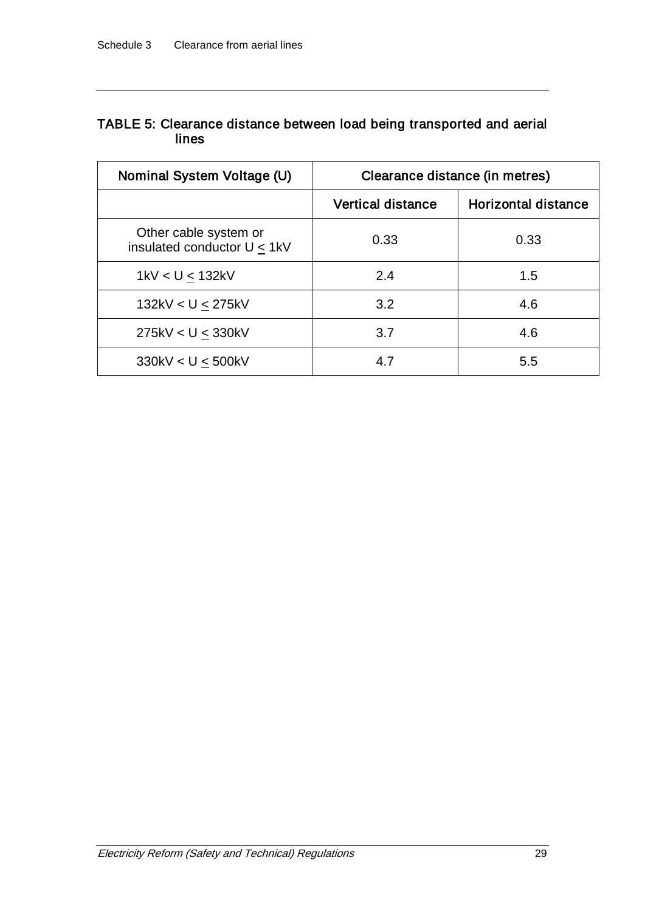# TABLE 5: Clearance distance between load being transported and aerial lines

| Nominal System Voltage (U)                           | Clearance distance (in metres) |                     |
|------------------------------------------------------|--------------------------------|---------------------|
|                                                      | <b>Vertical distance</b>       | Horizontal distance |
| Other cable system or<br>insulated conductor U < 1kV | 0.33                           | 0.33                |
| 1kV < U < 132kV                                      | 2.4                            | 1.5                 |
| 132kV < U < 275kV                                    | 3.2                            | 4.6                 |
| 275kV < U < 330kV                                    | 3.7                            | 4.6                 |
| 330kV < U < 500kV                                    | 4.7                            | 5.5                 |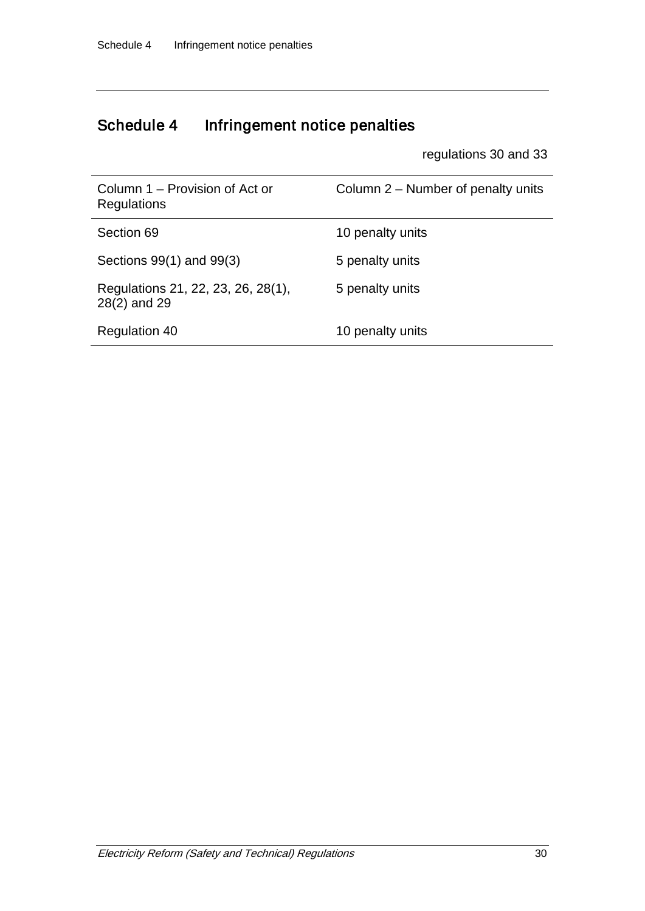# Schedule 4 Infringement notice penalties

regulations 30 and 33

| Column 1 – Provision of Act or<br>Regulations      | Column 2 – Number of penalty units |
|----------------------------------------------------|------------------------------------|
| Section 69                                         | 10 penalty units                   |
| Sections 99(1) and 99(3)                           | 5 penalty units                    |
| Regulations 21, 22, 23, 26, 28(1),<br>28(2) and 29 | 5 penalty units                    |
| <b>Regulation 40</b>                               | 10 penalty units                   |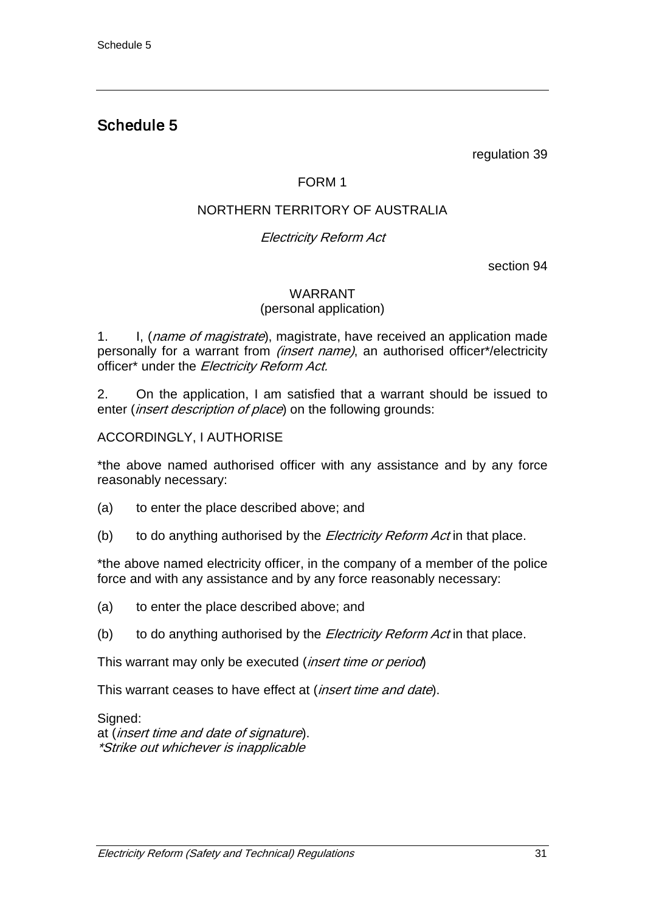# Schedule 5

regulation 39

# FORM 1

# NORTHERN TERRITORY OF AUSTRALIA

# Electricity Reform Act

section 94

### WARRANT (personal application)

1. I, (*name of magistrate*), magistrate, have received an application made personally for a warrant from *(insert name)*, an authorised officer\*/electricity officer\* under the Electricity Reform Act.

2. On the application, I am satisfied that a warrant should be issued to enter *(insert description of place*) on the following grounds:

### ACCORDINGLY, I AUTHORISE

\*the above named authorised officer with any assistance and by any force reasonably necessary:

- (a) to enter the place described above; and
- (b) to do anything authorised by the *Electricity Reform Act* in that place.

\*the above named electricity officer, in the company of a member of the police force and with any assistance and by any force reasonably necessary:

- (a) to enter the place described above; and
- (b) to do anything authorised by the *Electricity Reform Act* in that place.

This warrant may only be executed (*insert time or period*)

This warrant ceases to have effect at (*insert time and date*).

Signed: at (insert time and date of signature). \*Strike out whichever is inapplicable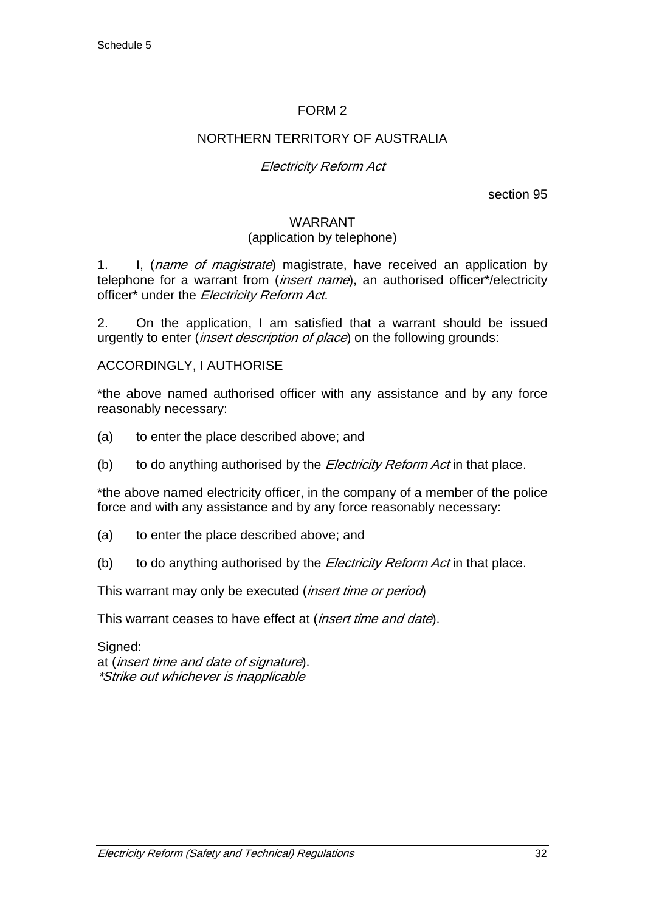# FORM 2

## NORTHERN TERRITORY OF AUSTRALIA

## Electricity Reform Act

section 95

#### WARRANT (application by telephone)

1. I, (name of magistrate) magistrate, have received an application by telephone for a warrant from (*insert name*), an authorised officer\*/electricity officer\* under the Electricity Reform Act.

2. On the application, I am satisfied that a warrant should be issued urgently to enter (*insert description of place*) on the following grounds:

#### ACCORDINGLY, I AUTHORISE

\*the above named authorised officer with any assistance and by any force reasonably necessary:

- (a) to enter the place described above; and
- (b) to do anything authorised by the *Electricity Reform Act* in that place.

\*the above named electricity officer, in the company of a member of the police force and with any assistance and by any force reasonably necessary:

- (a) to enter the place described above; and
- (b) to do anything authorised by the *Electricity Reform Act* in that place.

This warrant may only be executed (insert time or period)

This warrant ceases to have effect at (*insert time and date*).

Signed: at (insert time and date of signature). \*Strike out whichever is inapplicable